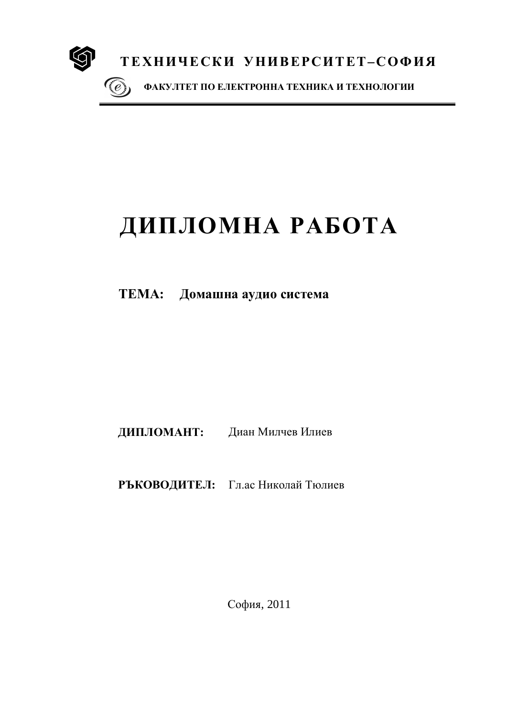

# ДИПЛОМНА РАБОТА

ТЕМА: Домашна аудио система

ДИПЛОМАНТ: Диан Милчев Илиев

РЪКОВОДИТЕЛ: Гл.ас Николай Тюлиев

София, 2011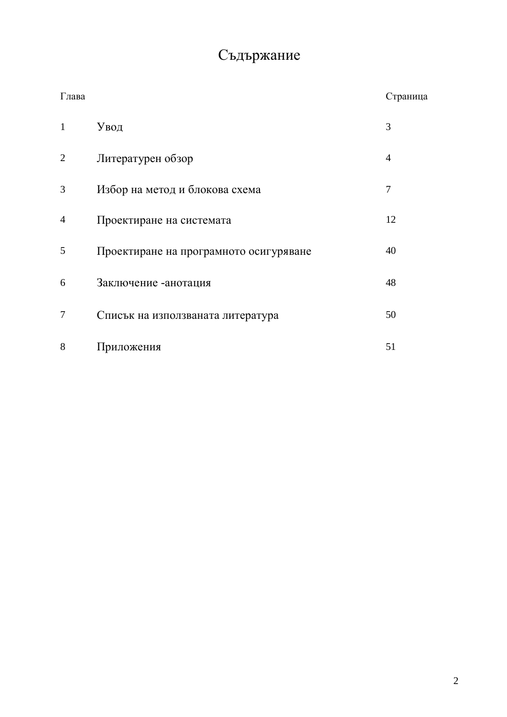## Съдържание

| Глава          |                                        | Страница       |
|----------------|----------------------------------------|----------------|
| $\mathbf{1}$   | Увод                                   | 3              |
| $\overline{2}$ | Литературен обзор                      | $\overline{4}$ |
| 3              | Избор на метод и блокова схема         | 7              |
| $\overline{4}$ | Проектиране на системата               | 12             |
| 5              | Проектиране на програмното осигуряване | 40             |
| 6              | Заключение - анотация                  | 48             |
| 7              | Списък на използваната литература      | 50             |
| 8              | Приложения                             | 51             |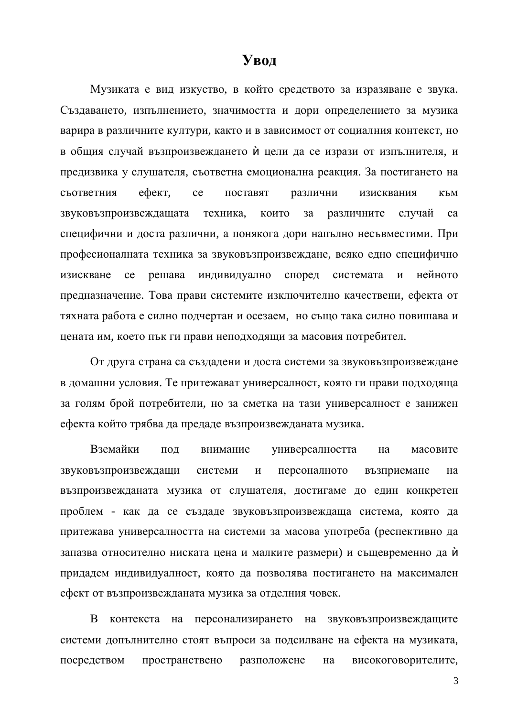## ${\bf y}_{\bf B0}$ л

Музиката е вид изкуство, в който средството за изразяване е звука. Създаването, изпълнението, значимостта и дори определението за музика варира в различните култури, както и в зависимост от социалния контекст, но в общия случай възпроизвеждането ѝ цели да се изрази от изпълнителя, и предизвика у слушателя, съответна емоционална реакция. За постигането на съответния ефект, се поставят различни изисквания към звуковъзпроизвеждащата техника, които за различните случай са специфични и доста различни, а понякога дори напълно несъвместими. При професионалната техника за звуковъзпроизвеждане, всяко едно специфично изискване се решава индивидуално според системата и нейното предназначение. Това прави системите изключително качествени, ефекта от тяхната работа е силно подчертан и осезаем, но също така силно повишава и цената им, което пък ги прави неподходящи за масовия потребител.

От друга страна са създадени и доста системи за звуковъзпроизвеждане в домашни условия. Те притежават универсалност, която ги прави подходяща за голям брой потребители, но за сметка на тази универсалност е занижен ефекта който трябва да предаде възпроизвежданата музика.

Вземайки под внимание универсалността на масовите звуковъзпроизвеждащи системи и персоналното възприемане на възпроизвежданата музика от слушателя, достигаме до един конкретен проблем - как да се създаде звуковъзпроизвеждаща система, която да притежава универсалността на системи за масова употреба (респективно да запазва относително ниската цена и малките размери) и същевременно да ѝ придадем индивидуалност, която да позволява постигането на максимален ефект от възпроизвежданата музика за отделния човек.

В контекста на персонализирането на звуковъзпроизвеждащите системи допълнително стоят въпроси за подсилване на ефекта на музиката, посредством пространствено разположене на високоговорителите,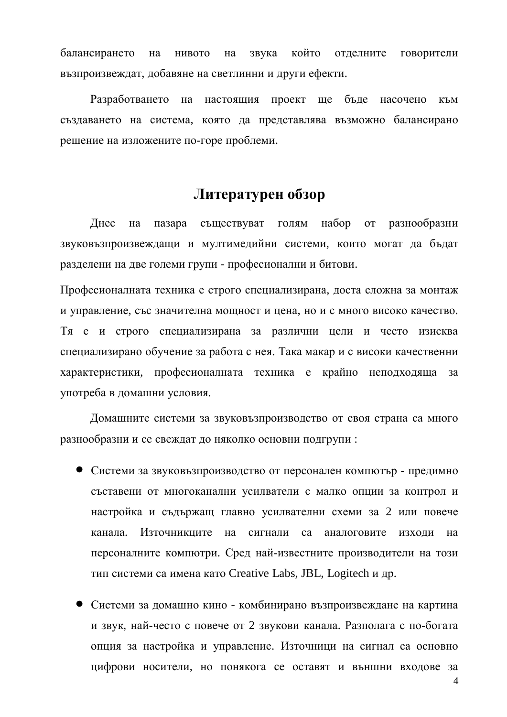балансирането на нивото на звука който отделните говорители възпроизвеждат, добавяне на светлинни и други ефекти.

Разработването на настоящия проект ще бъде насочено към създаването на система, която да представлява възможно балансирано решение на изложените по-горе проблеми.

## **Литературен обзор**

Днес на пазара съществуват голям набор от разнообразни звуковъзпроизвеждащи и мултимедийни системи, които могат да бъдат разделени на две големи групи - професионални и битови.

Професионалната техника е строго специализирана, доста сложна за монтаж и управление, със значителна мощност и цена, но и с много високо качество. Тя е и строго специализирана за различни цели и често изисква специализирано обучение за работа с нея. Така макар и с високи качественни характеристики, професионалната техника е крайно неподходяща за употреба в домашни условия.

Домашните системи за звуковъзпроизводство от своя страна са много разнообразни и се свеждат до няколко основни подгрупи:

- Системи за звуковъзпроизводство от персонален компютър предимно съставени от многоканални усилватели с малко опции за контрол и настройка и съдържащ главно усилвателни схеми за 2 или повече канала. Източникците на сигнали са аналоговите изходи на персоналните компютри. Сред най-известните производители на този тип системи са имена като Creative Labs, JBL, Logitech и др.
- Системи за домашно кино комбинирано възпроизвеждане на картина и звук, най-често с повече от 2 звукови канала. Разполага с по-богата опция за настройка и управление. Източници на сигнал са основно цифрови носители, но понякога се оставят и външни входове за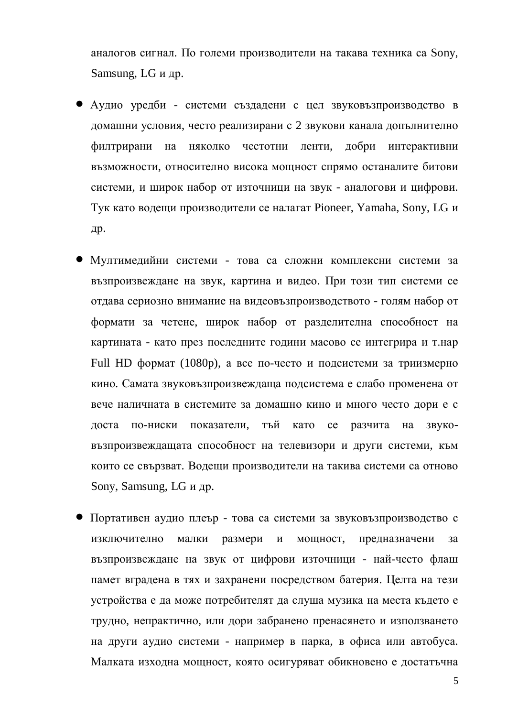аналогов сигнал. По големи производители на такава техника са Sony, Samsung, LG и др.

- Аудио уредби системи създадени с цел звуковъзпроизводство в домашни условия, често реализирани с 2 звукови канала допълнително филтрирани на няколко честотни ленти, добри интерактивни възможности, относително висока мощност спрямо останалите битови системи, и широк набор от източници на звук - аналогови и цифрови. Тук като водещи производители се налагат Pioneer, Yamaha, Sony, LG и др.
- Мултимедийни системи това са сложни комплексни системи за възпроизвеждане на звук, картина и видео. При този тип системи се отдава сериозно внимание на видеовъзпроизводството - голям набор от формати за четене, широк набор от разделителна способност на картината - като през последните години масово се интегрира и т.нар Full HD формат (1080p), а все по-често и подсистеми за триизмерно кино. Самата звуковъзпроизвеждаща подсистема е слабо променена от вече наличната в системите за домашно кино и много често дори е с доста по-ниски показатели, тъй като се разчита на звуковъзпроизвеждащата способност на телевизори и други системи, към които се свързват. Водещи производители на такива системи са отново Sony, Samsung, LG и др.
- Портативен аудио плеър това са системи за звуковъзпроизводство с изключително малки размери и мощност, предназначени за възпроизвеждане на звук от цифрови източници - най-често флаш памет вградена в тях и захранени посредством батерия. Целта на тези устройства е да може потребителят да слуша музика на места където е трулно, непрактично, или дори забранено пренасянето и използването на други аудио системи - например в парка, в офиса или автобуса. Малката изходна мощност, която осигуряват обикновено е достатъчна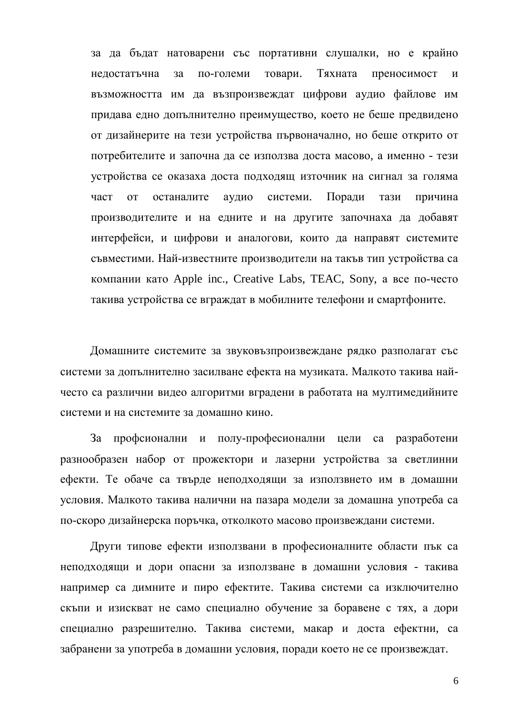за да бъдат натоварени със портативни слушалки, но е крайно недостатъчна за по-големи товари. Тяхната преносимост и възможността им да възпроизвеждат цифрови аудио файлове им придава едно допълнително преимущество, което не беше предвидено от дизайнерите на тези устройства първоначално, но беше открито от потребителите и започна да се използва доста масово, а именно - тези устройства се оказаха доста подходящ източник на сигнал за голяма част от останалите аудио системи. Поради тази причина производителите и на едните и на другите започнаха да добавят интерфейси, и цифрови и аналогови, които да направят системите съвместими. Най-известните производители на такъв тип устройства са компании като Apple inc., Creative Labs, TEAC, Sony, а все по-често такива устройства се вграждат в мобилните телефони и смартфоните.

Домашните системите за звуковъзпроизвеждане рядко разполагат със системи за допълнително засилване ефекта на музиката. Малкото такива найчесто са различни видео алгоритми вградени в работата на мултимедийните системи и на системите за домашно кино.

За профсионални и полу-професионални цели са разработени разнообразен набор от прожектори и лазерни устройства за светлинни ефекти. Те обаче са твърде неподходящи за използвнето им в домашни условия. Малкото такива налични на пазара модели за домашна употреба са по-скоро дизайнерска поръчка, отколкото масово произвеждани системи.

Други типове ефекти използвани в професионалните области пък са неподходящи и дори опасни за използване в домашни условия - такива например са димните и пиро ефектите. Такива системи са изключително скъпи и изискват не само специално обучение за боравене с тях, а дори специално разрешително. Такива системи, макар и доста ефектни, са забранени за употреба в домашни условия, поради което не се произвеждат.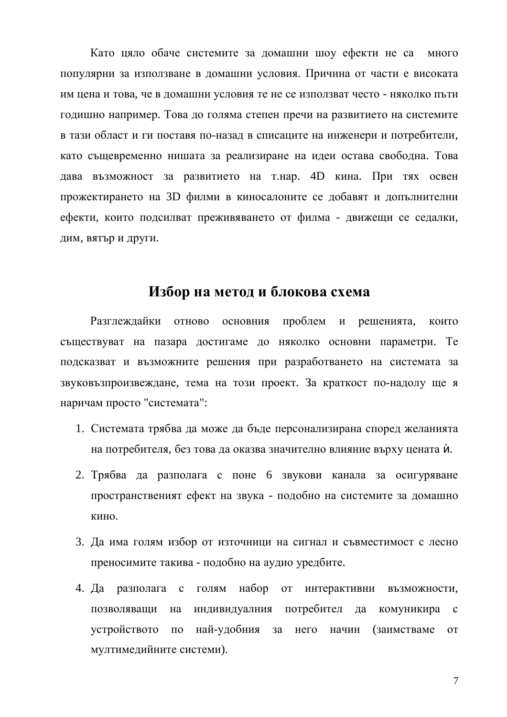Като цяло обаче системите за домашни шоу ефекти не са много популярни за използване в домашни условия. Причина от части е високата им цена и това, че в домашни условия те не се използват често - няколко пъти годишно например. Това до голяма степен пречи на развитието на системите в тази област и ги поставя по-назад в списаците на инженери и потребители, като същевременно нишата за реализиране на идеи остава свободна. Това дава възможност за развитието на т.нар. 4D кина. При тях освен прожектирането на 3D филми в киносалоните се добавят и допълнителни ефекти, които подсилват преживяването от филма - движещи се седалки, дим, вятью и други.

## **Избор на метод и блокова схема**

Разглеждайки отново основния проблем и решенията, които съществуват на пазара достигаме до няколко основни параметри. Те подсказват и възможните решения при разработването на системата за звуковъзпроизвеждане, тема на този проект. За краткост по-надолу ще я наричам просто "системата":

- 1. Системата трябва да може да бъде персонализирана според желанията на потребителя, без това да оказва значително влияние върху цената ѝ.
- 2. Трябва да разполага с поне 6 звукови канала за осигуряване пространственият ефект на звука - подобно на системите за домашно кино.
- 3. Да има голям избор от източници на сигнал и съвместимост с лесно преносимите такива - подобно на аудио уредбите.
- 4. Да разполага с голям набор от интерактивни възможности, позволяващи на индивидуалния потребител да комуникира с vстройството по най-удобния за него начин (заимстваме от мултимелийните системи).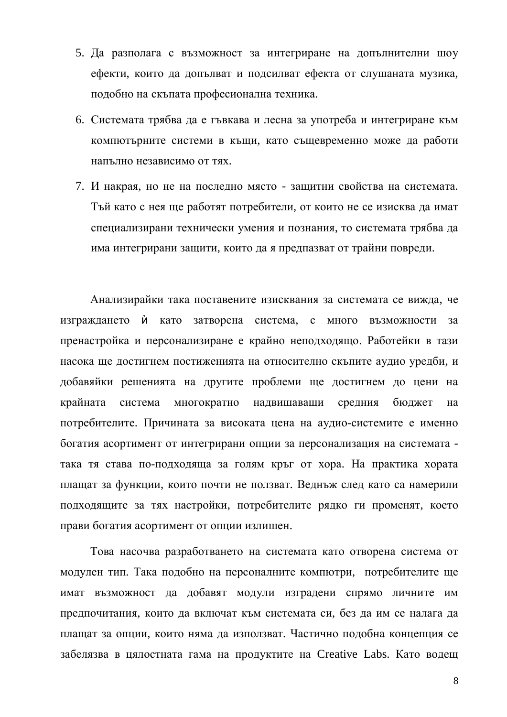- 5. Да разполага с възможност за интегриране на допълнителни шоу ефекти, които да допълват и подсилват ефекта от слушаната музика, подобно на скъпата професионална техника.
- 6. Системата трябва да е гъвкава и лесна за употреба и интегриране към компютърните системи в къщи, като същевременно може да работи напълно независимо от тях.
- 7. И накрая, но не на последно място защитни свойства на системата. Тъй като с нея ще работят потребители, от които не се изисква да имат специализирани технически умения и познания, то системата трябва да има интегрирани защити, които да я предпазват от трайни повреди.

Анализирайки така поставените изисквания за системата се вижда, че изграждането ѝ като затворена система, с много възможности за пренастройка и персонализиране е крайно неподходящо. Работейки в тази насока ще достигнем постиженията на относително скъпите аудио уредби, и добавяйки решенията на другите проблеми ще достигнем до цени на крайната система многократно надвишаващи средния бюджет на потребителите. Причината за високата цена на аудио-системите е именно богатия асортимент от интегрирани опции за персонализация на системата така тя става по-подходяща за голям кръг от хора. На практика хората плащат за функции, които почти не ползват. Веднъж след като са намерили подходящите за тях настройки, потребителите рядко ги променят, което прави богатия асортимент от опции излишен.

Това насочва разработването на системата като отворена система от модулен тип. Така подобно на персоналните компютри, потребителите ще имат възможност да добавят модули изградени спрямо личните им предпочитания, които да включат към системата си, без да им се налага да плащат за опции, които няма да използват. Частично подобна концепция се забелязва в цялостната гама на продуктите на Creative Labs. Като водещ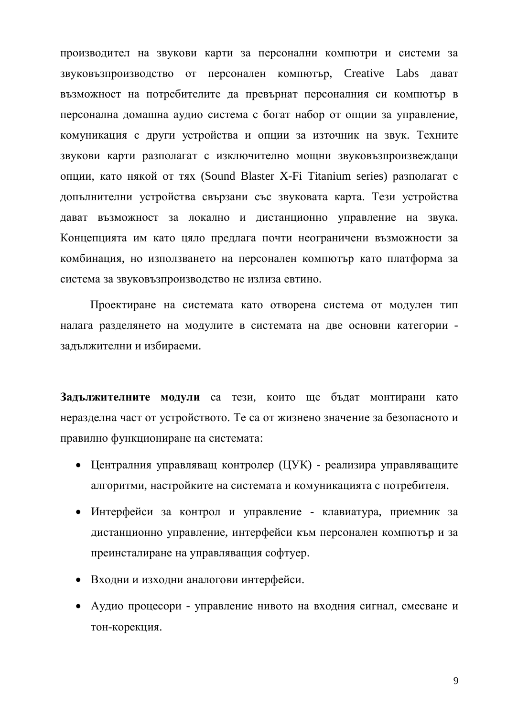производител на звукови карти за персонални компютри и системи за звуковъзпроизводство от персонален компютър, Creative Labs дават възможност на потребителите да превърнат персоналния си компютър в персонална домашна аудио система с богат набор от опции за управление, комуникация с други устройства и опции за източник на звук. Техните звукови карти разполагат с изключително мощни звуковъзпроизвеждащи опции, като някой от тях (Sound Blaster X-Fi Titanium series) разполагат с допълнителни устройства свързани със звуковата карта. Тези устройства дават възможност за локално и дистанционно управление на звука. Концепцията им като цяло предлага почти неограничени възможности за комбинация, но използването на персонален компютър като платформа за система за звуковъзпроизводство не излиза евтино.

Проектиране на системата като отворена система от модулен тип налага разделянето на модулите в системата на две основни категории задължителни и избираеми.

Задължителните модули са тези, които ще бъдат монтирани като неразделна част от устройството. Те са от жизнено значение за безопасното и правилно функциониране на системата:

- Централния управляващ контролер (ЦУК) реализира управляващите алгоритми, настройките на системата и комуникацията с потребителя.
- Интерфейси за контрол и управление клавиатура, приемник за дистанционно управление, интерфейси към персонален компютър и за преинсталиране на управляващия софтуер.
- Входни и изходни аналогови интерфейси.
- Аудио процесори управление нивото на входния сигнал, смесване и тон-корекция.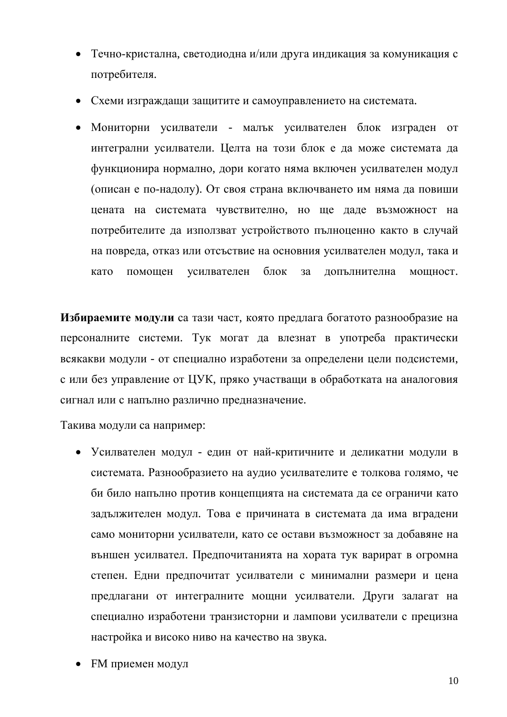- Течно-кристална, светодиодна и/или друга индикация за комуникация с потребителя.
- Схеми изграждащи защитите и самоуправлението на системата.
- Мониторни усилватели малък усилвателен блок изграден от интегрални усилватели. Целта на този блок е да може системата да функционира нормално, дори когато няма включен усилвателен модул (описан е по-надолу). От своя страна включването им няма да повиши цената на системата чувствително, но ще даде възможност на потребителите да използват устройството пълноценно както в случай на повреда, отказ или отсъствие на основния усилвателен модул, така и като помощен усилвателен блок за допълнителна мощност.

**Избираемите модули** са тази част, която предлага богатото разнообразие на персоналните системи. Тук могат да влезнат в употреба практически всякакви модули - от специално изработени за определени цели подсистеми, с или без управление от ЦУК, пряко участващи в обработката на аналоговия сигнал или с напълно различно предназначение.

Такива модули са например:

- Усилвателен модул един от най-критичните и деликатни модули в системата. Разнообразието на аудио усилвателите е толкова голямо, че би било напълно против концепцията на системата да се ограничи като задължителен модул. Това е причината в системата да има вградени само мониторни усилватели, като се остави възможност за добавяне на външен усилвател. Предпочитанията на хората тук варират в огромна степен. Едни предпочитат усилватели с минимални размери и цена предлагани от интегралните мощни усилватели. Други залагат на специално изработени транзисторни и лампови усилватели с прецизна настройка и високо ниво на качество на звука.
- **FM приемен модул**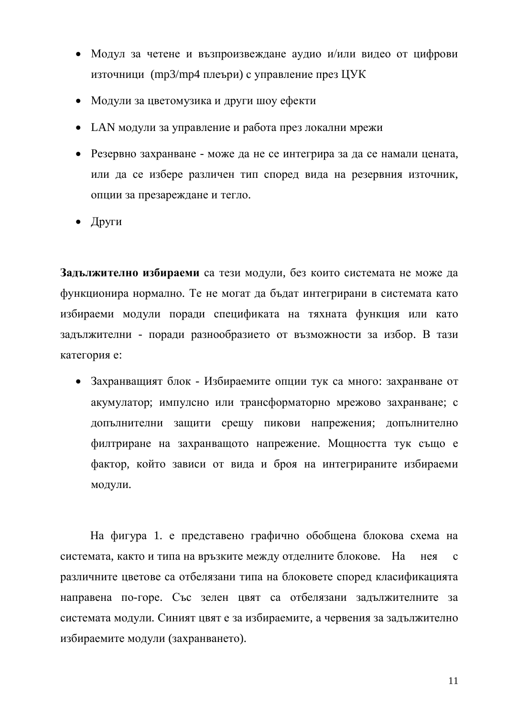- Модул за четене и възпроизвеждане аудио и/или видео от цифрови източници (mp3/mp4 плеъри) с управление през ЦУК
- Модули за цветомузика и други шоу ефекти
- LAN модули за управление и работа през локални мрежи
- Резервно захранване може да не се интегрира за да се намали цената, или да се избере различен тип според вида на резервния източник, опции за презареждане и тегло.
- $\bullet$   $\Box$ pyru

Задължително избираеми са тези модули, без които системата не може да функционира нормално. Те не могат да бълат интегрирани в системата като избираеми модули поради спецификата на тяхната функция или като задължителни - поради разнообразието от възможности за избор. В тази категория е:

• Захранващият блок - Избираемите опции тук са много: захранване от акумулатор; импулсно или трансформаторно мрежово захранване; с допълнителни защити срещу пикови напрежения; допълнително филтриране на захранващото напрежение. Мощността тук също е фактор, който зависи от вида и броя на интегрираните избираеми модули.

На фигура 1. е представено графично обобщена блокова схема на системата, както и типа на връзките между отделните блокове. На нея с различните цветове са отбелязани типа на блоковете според класификацията направена по-горе. Със зелен цвят са отбелязани задължителните за системата модули. Синият цвят е за избираемите, а червения за задължително избираемите модули (захранването).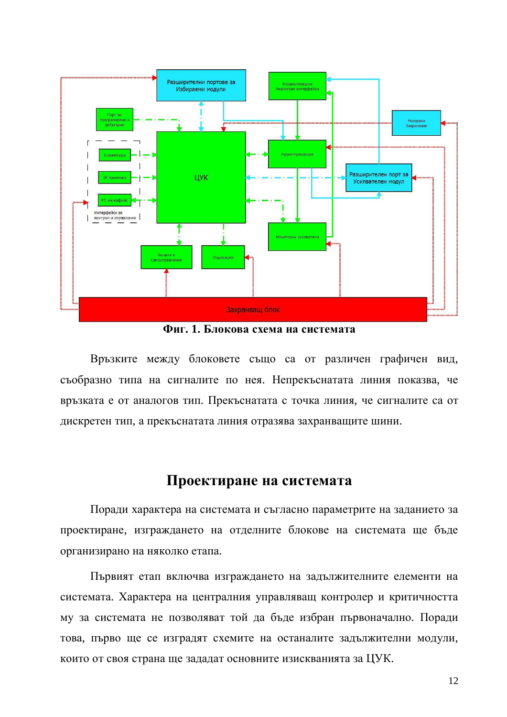

 $\Phi$ иг. 1. Блокова схема на системата

Връзките между блоковете също са от различен графичен вид, съобразно типа на сигналите по нея. Непрекъснатата линия показва, че връзката е от аналогов тип. Прекъснатата с точка линия, че сигналите са от дискретен тип, а прекъснатата линия отразява захранващите шини.

## Проектиране на системата

Поради характера на системата и съгласно параметрите на заданието за проектиране, изграждането на отделните блокове на системата ще бъде организирано на няколко етапа.

Първият етап включва изграждането на задължителните елементи на системата. Характера на централния управляващ контролер и критичността му за системата не позволяват той да бъде избран първоначално. Поради това, първо ще се изградят схемите на останалите задължителни модули, които от своя страна ще зададат основните изискванията за ЦУК.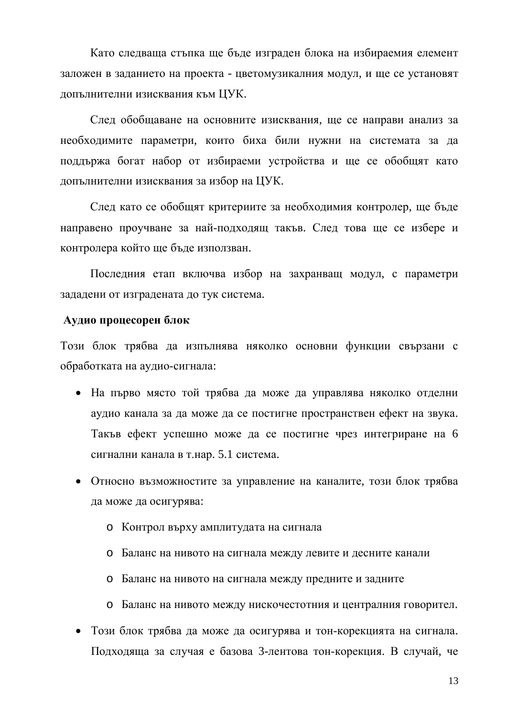Като следваща стъпка ще бъде изграден блока на избираемия елемент заложен в заданието на проекта - цветомузикалния модул, и ще се установят допълнителни изисквания към ЦУК.

След обобщаване на основните изисквания, ще се направи анализ за необходимите параметри, които биха били нужни на системата за да поддържа богат набор от избираеми устройства и ще се обобщят като допълнителни изисквания за избор на ЦУК.

След като се обобщят критериите за необходимия контролер, ще бъде направено проучване за най-подходящ такъв. След това ще се избере и контролера който ще бъде използван.

Последния етап включва избор на захранващ модул, с параметри зададени от изградената до тук система.

#### $A$ удио процесорен блок

Този блок трябва да изпълнява няколко основни функции свързани с обработката на аудио-сигнала:

- На първо място той трябва да може да управлява няколко отделни аудио канала за да може да се постигне пространствен ефект на звука. Такъв ефект успешно може да се постигне чрез интегриране на 6 сигнални канала в т.нар. 5.1 система.
- Относно възможностите за управление на каналите, този блок трябва да може да осигурява:
	- o Контрол върху амплитудата на сигнала
	- **o** Баланс на нивото на сигнала между левите и десните канали
	- **o** Баланс на нивото на сигнала между предните и задните
	- о Баланс на нивото между нискочестотния и централния говорител.
- Този блок трябва да може да осигурява и тон-корекцията на сигнала. Подходяща за случая е базова 3-лентова тон-корекция. В случай, че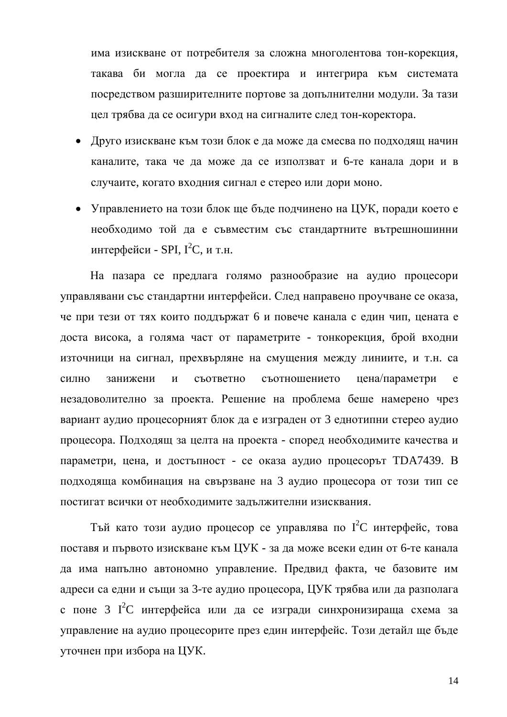има изискване от потребителя за сложна многолентова тон-корекция, такава би могла да се проектира и интегрира към системата посредством разширителните портове за допълнителни модули. За тази цел трябва да се осигури вход на сигналите след тон-коректора.

- Друго изискване към този блок е да може да смесва по подходящ начин каналите, така че да може да се използват и 6-те канала дори и в случаите, когато входния сигнал е стерео или дори моно.
- Управлението на този блок ще бъде подчинено на ЦУК, поради което е необходимо той да е съвместим със стандартните вътрешношинни интерфейси - SPI,  $I^2C$ , и т.н.

На пазара се предлага голямо разнообразие на аудио процесори управлявани със стандартни интерфейси. След направено проучване се оказа, че при тези от тях които поддържат 6 и повече канала с един чип, цената е доста висока, а голяма част от параметрите - тонкорекция, брой входни източници на сигнал, прехвърляне на смущения между линиите, и т.н. са силно занижени и съответно съотношението цена/параметри е незадоволително за проекта. Решение на проблема беше намерено чрез вариант аудио процесорният блок да е изграден от 3 еднотипни стерео аудио процесора. Подходящ за целта на проекта - според необходимите качества и параметри, цена, и достъпност - се оказа аудио процесорът ТDA7439. В подходяща комбинация на свързване на 3 аудио процесора от този тип се постигат всички от необходимите задължителни изисквания.

Тъй като този аудио процесор се управлява по  $I^2C$  интерфейс, това поставя и първото изискване към ЦУК - за да може всеки един от 6-те канала да има напълно автономно управление. Предвид факта, че базовите им адреси са едни и същи за 3-те аудио процесора, ЦУК трябва или да разполага с поне 3 I<sup>2</sup>C интерфейса или да се изгради синхронизираща схема за управление на аудио процесорите през един интерфейс. Този детайл ще бъде уточнен при избора на ЦУК.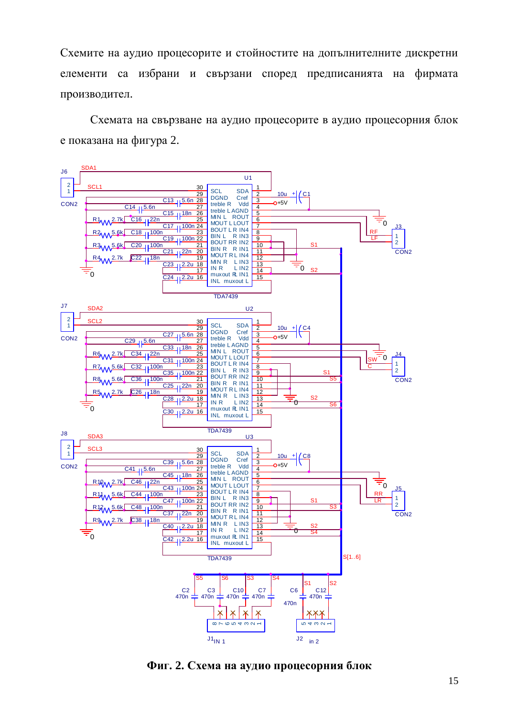Схемите на аудио процесорите и стойностите на допълнителните дискретни елементи са избрани и свързани според предписанията на фирмата производител.

Схемата на свързване на аудио процесорите в аудио процесорния блок е показана на фигура 2.



 $\Phi$ иг. 2. Схема на аудио процесорния блок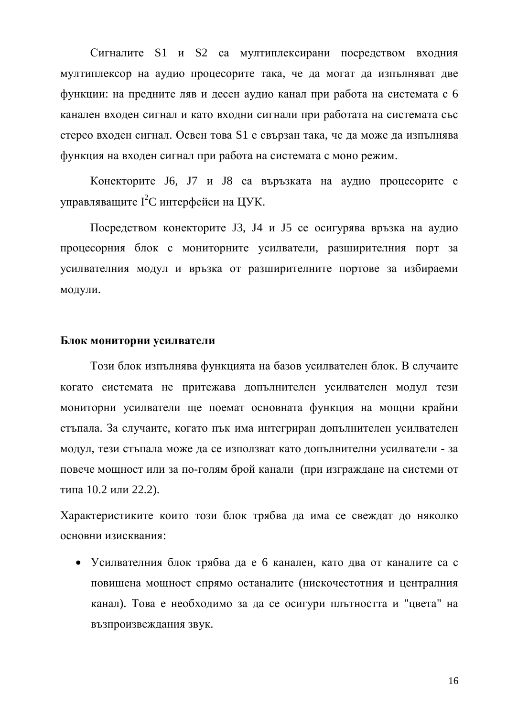Сигналите S1 и S2 са мултиплексирани посредством входния мултиплексор на аудио процесорите така, че да могат да изпълняват две функции: на предните ляв и десен аудио канал при работа на системата с 6 канален входен сигнал и като входни сигнали при работата на системата със стерео входен сигнал. Освен това S1 е свързан така, че да може да изпълнява функция на входен сигнал при работа на системата с моно режим.

Конекторите J6, J7 и J8 са въръзката на аудио процесорите с управляващите  $I^2C$  интерфейси на ЦУК.

Посредством конекторите J3, J4 и J5 се осигурява връзка на аудио процесорния блок с мониторните усилватели, разширителния порт за усилвателния модул и връзка от разширителните портове за избираеми модули.

#### **Блок мониторни усилватели**

Този блок изпълнява функцията на базов усилвателен блок. В случаите когато системата не притежава допълнителен усилвателен модул тези мониторни усилватели ще поемат основната функция на мощни крайни стъпала. За случаите, когато пък има интегриран допълнителен усилвателен модул, тези стъпала може да се използват като допълнителни усилватели - за повече мощност или за по-голям брой канали (при изграждане на системи от типа 10.2 или 22.2).

Характеристиките които този блок трябва да има се свеждат до няколко основни изисквания:

• Усилвателния блок трябва да е 6 канален, като два от каналите са с повишена мощност спрямо останалите (нискочестотния и централния канал). Това е необходимо за да се осигури плътността и "цвета" на възпроизвеждания звук.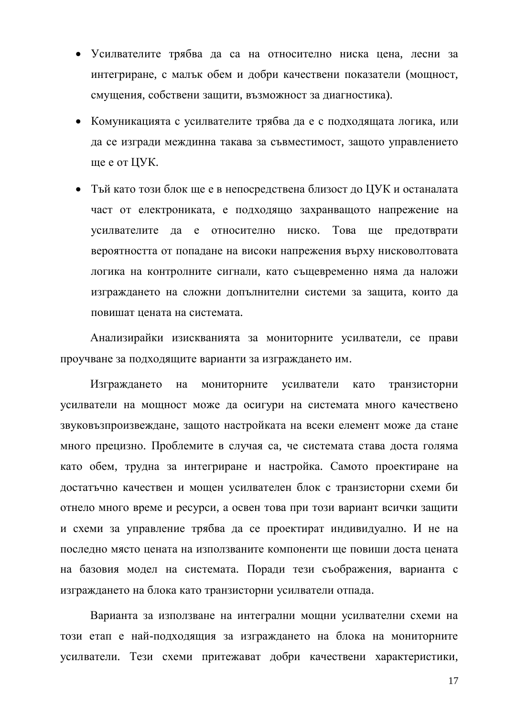- Усилвателите трябва да са на относително ниска цена, лесни за интегриране, с малък обем и добри качествени показатели (мощност, смущения, собствени защити, възможност за диагностика).
- Комуникацията с усилвателите трябва да е с подходящата логика, или да се изгради междинна такава за съвместимост, защото управлението ще е от ЦУК.
- Тъй като този блок ще е в непосредствена близост до ЦУК и останалата част от електрониката, е подходящо захранващото напрежение на усилвателите да е относително ниско. Това ще предотврати вероятността от попадане на високи напрежения върху нисковолтовата логика на контролните сигнали, като същевременно няма да наложи изграждането на сложни допълнителни системи за защита, които да повишат цената на системата.

Анализирайки изискванията за мониторните усилватели, се прави проучване за подходящите варианти за изграждането им.

Изграждането на мониторните усилватели като транзисторни усилватели на мощност може да осигури на системата много качествено звуковъзпроизвеждане, защото настройката на всеки елемент може да стане много прецизно. Проблемите в случая са, че системата става доста голяма като обем, трудна за интегриране и настройка. Самото проектиране на достатъчно качествен и мощен усилвателен блок с транзисторни схеми би отнело много време и ресурси, а освен това при този вариант всички защити и схеми за управление трябва да се проектират индивидуално. И не на последно място цената на използваните компоненти ще повиши доста цената на базовия модел на системата. Поради тези съображения, варианта с изграждането на блока като транзисторни усилватели отпада.

Варианта за използване на интегрални мощни усилвателни схеми на този етап е най-подходящия за изграждането на блока на мониторните усилватели. Тези схеми притежават добри качествени характеристики,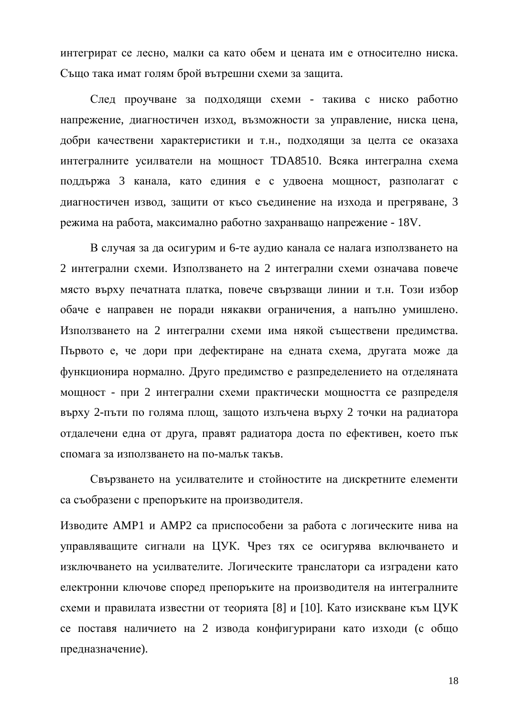интегрират се лесно, малки са като обем и цената им е относително ниска. Също така имат голям брой вътрешни схеми за защита.

След проучване за подходящи схеми - такива с ниско работно напрежение, диагностичен изход, възможности за управление, ниска цена, добри качествени характеристики и т.н., подходящи за целта се оказаха интегралните усилватели на мощност ТDA8510. Всяка интегрална схема поддържа 3 канала, като единия е с удвоена мощност, разполагат с диагностичен извод, защити от късо съединение на изхода и прегряване, 3 режима на работа, максимално работно захранващо напрежение - 18V.

В случая за да осигурим и 6-те аудио канала се налага използването на 2 интегрални схеми. Използването на 2 интегрални схеми означава повече място върху печатната платка, повече свързващи линии и т.н. Този избор обаче е направен не поради някакви ограничения, а напълно умишлено. Използването на 2 интегрални схеми има някой съществени предимства. Първото е, че дори при дефектиране на едната схема, другата може да функционира нормално. Друго предимство е разпределението на отделяната мощност - при 2 интегрални схеми практически мощността се разпределя върху 2-пъти по голяма площ, защото излъчена върху 2 точки на радиатора отдалечени една от друга, правят радиатора доста по ефективен, което пък спомага за използването на по-малък такъв.

Свързването на усилвателите и стойностите на дискретните елементи са съобразени с препоръките на производителя.

Изводите АМР1 и АМР2 са приспособени за работа с логическите нива на управляващите сигнали на ЦУК. Чрез тях се осигурява включването и изключването на усилвателите. Логическите транслатори са изградени като електронни ключове според препоръките на производителя на интегралните схеми и правилата известни от теорията [8] и [10]. Като изискване към ЦУК се поставя наличието на 2 извода конфигурирани като изходи (с общо предназначение).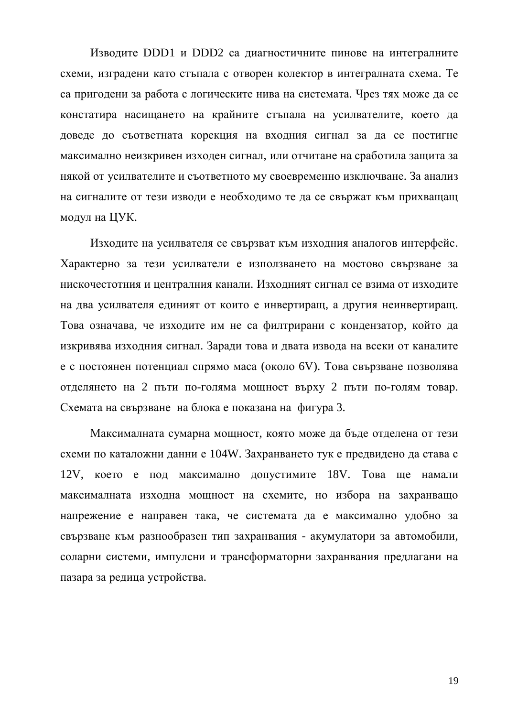Изводите DDD1 и DDD2 са диагностичните пинове на интегралните схеми, изградени като стъпала с отворен колектор в интегралната схема. Те са пригодени за работа с логическите нива на системата. Чрез тях може да се констатира насищането на крайните стъпала на усилвателите, което да доведе до съответната корекция на входния сигнал за да се постигне максимално неизкривен изходен сигнал, или отчитане на сработила защита за някой от усилвателите и съответното му своевременно изключване. За анализ на сигналите от тези изводи е необходимо те да се свържат към прихващащ модул на ЦУК.

Изходите на усилвателя се свързват към изходния аналогов интерфейс. Характерно за тези усилватели е използването на мостово свързване за нискочестотния и централния канали. Изходният сигнал се взима от изходите на два усилвателя единият от които е инвертиращ, а другия неинвертиращ. Това означава, че изходите им не са филтрирани с кондензатор, който да изкривява изходния сигнал. Заради това и двата извода на всеки от каналите е с постоянен потенциал спрямо маса (около 6V). Това свързване позволява отделянето на 2 пъти по-голяма мощност върху 2 пъти по-голям товар. Схемата на свързване на блока е показана на фигура 3.

Максималната сумарна мощност, която може да бъде отделена от тези схеми по каталожни данни е 104W. Захранването тук е предвидено да става с 12V, което е под максимално допустимите 18V. Това ще намали максималната изходна мощност на схемите, но избора на захранващо напрежение е направен така, че системата да е максимално удобно за свързване към разнообразен тип захранвания - акумулатори за автомобили, соларни системи, импулсни и трансформаторни захранвания предлагани на пазара за редица устройства.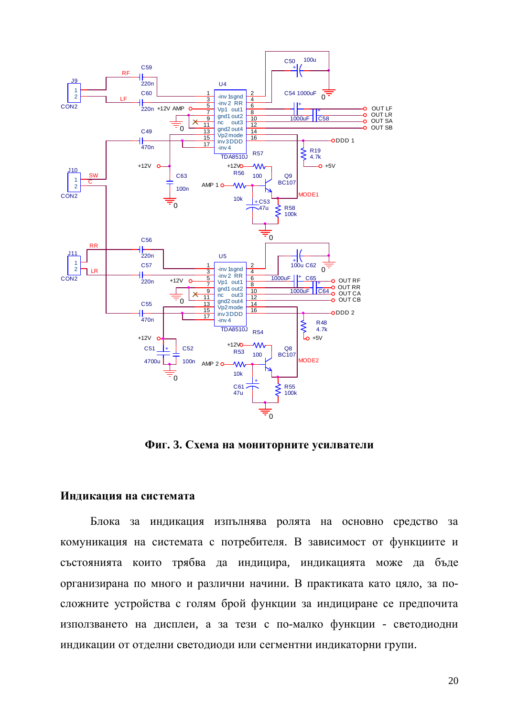

**Фиг. 3. Схема на мониторните усилватели** 

#### **Индикация на системата**

Блока за индикация изпълнява ролята на основно средство за комуникация на системата с потребителя. В зависимост от функциите и състоянията които трябва да индицира, индикацията може да бъде организирана по много и различни начини. В практиката като цяло, за посложните устройства с голям брой функции за индициране се предпочита използването на дисплеи, а за тези с по-малко функции - светодиодни индикации от отделни светодиоди или сегментни индикаторни групи.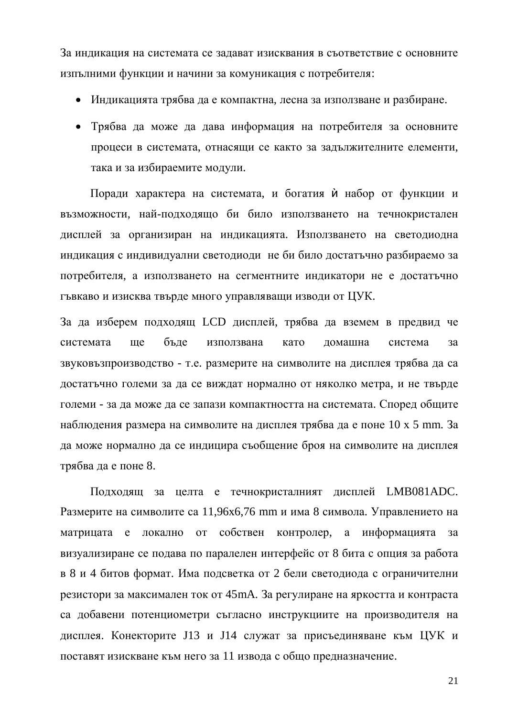За индикация на системата се задават изисквания в съответствие с основните изпълними функции и начини за комуникация с потребителя:

- Индикацията трябва да е компактна, лесна за използване и разбиране.
- Трябва да може да дава информация на потребителя за основните процеси в системата, отнасящи се както за задължителните елементи, така и за избираемите модули.

Поради характера на системата, и богатия ѝ набор от функции и възможности, най-подходящо би било използването на течнокристален дисплей за организиран на индикацията. Използването на светодиодна индикация с индивидуални светодиоди не би било достатьчно разбираемо за потребителя, а използването на сегментните индикатори не е достатьчно гъвкаво и изисква твърде много управляващи изводи от ЦУК.

За да изберем подходящ LCD дисплей, трябва да вземем в предвид че системата ще бъде използвана като домашна система за звуковъзпроизводство - т.е. размерите на символите на дисплея трябва да са достатъчно големи за да се виждат нормално от няколко метра, и не твърде големи - за да може да се запази компактността на системата. Според общите наблюдения размера на символите на дисплея трябва да е поне 10 х 5 mm. За да може нормално да се индицира съобщение броя на символите на дисплея трябва да е поне 8.

Подходящ за целта е течнокристалният дисплей LMB081ADC. Размерите на символите са 11,96х6,76 mm и има 8 символа. Управлението на матрицата е локално от собствен контролер, а информацията за визуализиране се подава по паралелен интерфейс от 8 бита с опция за работа в 8 и 4 битов формат. Има подсветка от 2 бели светодиода с ограничителни резистори за максимален ток от 45mA. За регулиране на яркостта и контраста са добавени потенциометри съгласно инструкциите на производителя на дисплея. Конекторите J13 и J14 служат за присъединяване към ЦУК и поставят изискване към него за 11 извода с общо предназначение.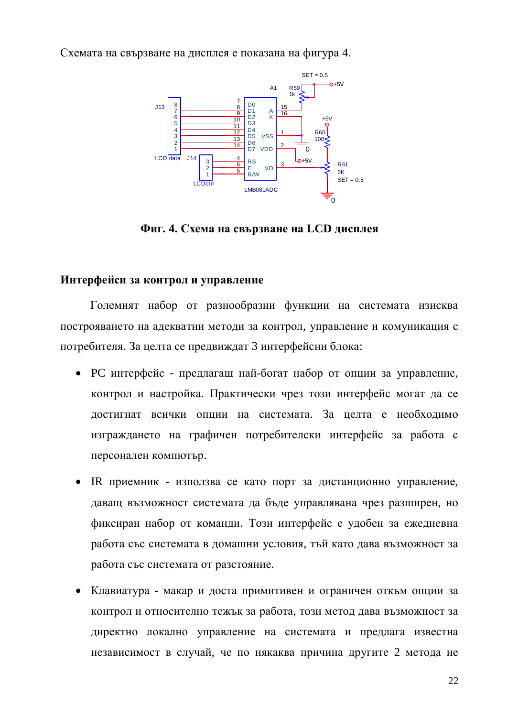Схемата на свързване на дисплея е показана на фигура 4.



 $\Phi$ иг. 4. Схема на свързване на LCD дисплея

#### **Интерфейси за контрол и управление**

Големият набор от разнообразни функции на системата изисква построяването на адекватни методи за контрол, управление и комуникация с потребителя. За целта се предвиждат 3 интерфейсни блока:

- РС интерфейс предлагащ най-богат набор от опции за управление, контрол и настройка. Практически чрез този интерфейс могат да се достигнат всички опции на системата. За целта е необходимо изграждането на графичен потребителски интерфейс за работа с персонален компютър.
- IR приемник използва се като порт за дистанционно управление, даващ възможност системата да бъде управлявана чрез разширен, но фиксиран набор от команди. Този интерфейс е удобен за ежедневна работа със системата в домашни условия, тъй като дава възможност за работа със системата от разстояние.
- Клавиатура макар и доста примитивен и ограничен откъм опции за контрол и относително тежък за работа, този метод дава възможност за директно локално управление на системата и предлага известна независимост в случай, че по някаква причина другите 2 метода не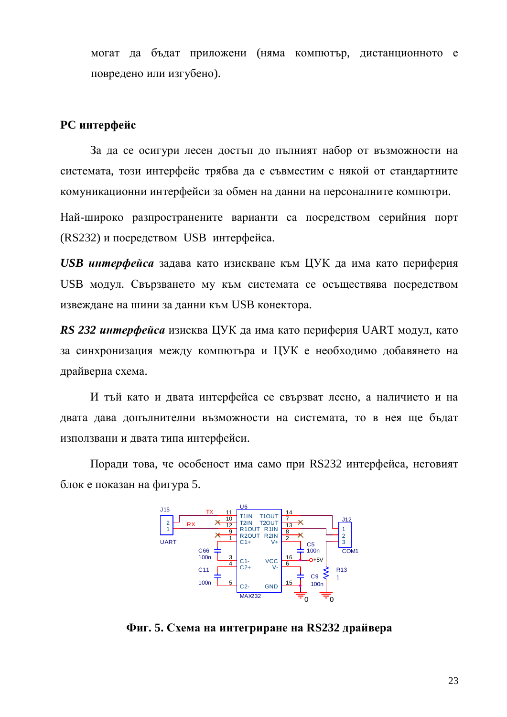могат да бъдат приложени (няма компютър, дистанционното е повредено или изгубено).

#### **РС** интерфейс

За да се осигури лесен достъп до пълният набор от възможности на системата, този интерфейс трябва да е съвместим с някой от стандартните комуникационни интерфейси за обмен на данни на персоналните компютри.

Най-широко разпространените варианти са посредством серийния порт (RS232) и посредством USB интерфейса.

*USB интерфейса* задава като изискване към ЦУК да има като периферия USB модул. Свързването му към системата се осъществява посредством извеждане на шини за данни към USB конектора.

*RS 232 интерфейса* изисква ЦУК да има като периферия UART модул, като за синхронизация между компютьра и ЦУК е необходимо добавянето на драйверна схема.

И тъй като и двата интерфейса се свързват лесно, а наличието и на двата дава допълнителни възможности на системата, то в нея ще бъдат използвани и двата типа интерфейси.

Поради това, че особеност има само при RS232 интерфейса, неговият блок е показан на фигура 5.



 $\Phi$ иг. 5. Схема на интегриране на RS232 драйвера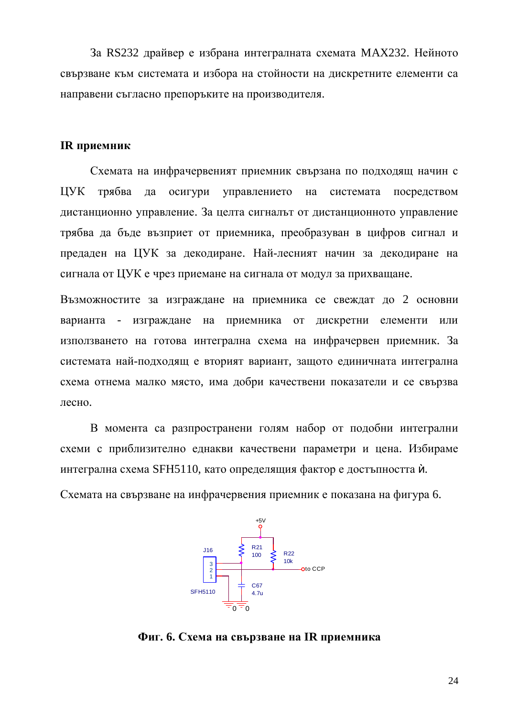За RS232 драйвер е избрана интегралната схемата MAX232. Нейното свързване към системата и избора на стойности на дискретните елементи са направени съгласно препоръките на производителя.

#### **IR** приемник

Схемата на инфрачервеният приемник свързана по подходящ начин с ЦУК трябва да осигури управлението на системата посредством дистанционно управление. За целта сигналът от дистанционното управление трябва да бъде възприет от приемника, преобразуван в цифров сигнал и предаден на ЦУК за декодиране. Най-лесният начин за декодиране на сигнала от ЦУК е чрез приемане на сигнала от модул за прихващане.

Възможностите за изграждане на приемника се свеждат до 2 основни варианта - изграждане на приемника от дискретни елементи или използването на готова интегрална схема на инфрачервен приемник. За системата най-подходящ е вторият вариант, защото единичната интегрална схема отнема малко място, има добри качествени показатели и се свързва лесно.

В момента са разпространени голям набор от подобни интегрални схеми с приблизително еднакви качествени параметри и цена. Избираме интегрална схема SFH5110, като определящия фактор е достъпността  $\dot{u}$ .

Схемата на свързване на инфрачервения приемник е показана на фигура 6.



 $\Phi$ иг. 6. Схема на свързване на IR приемника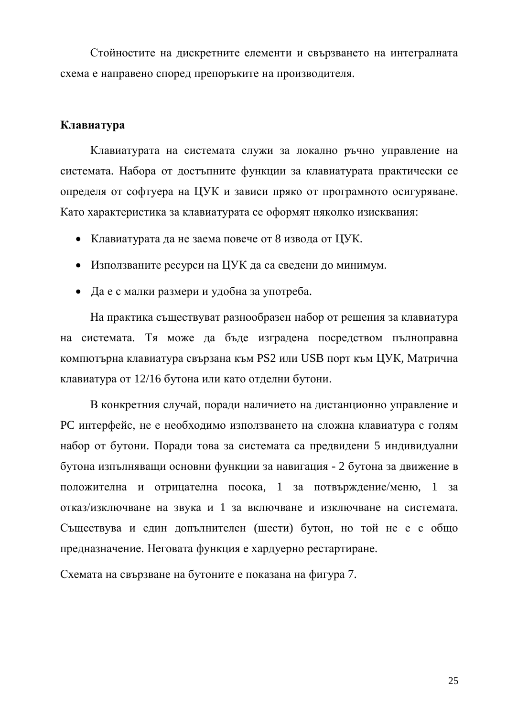Стойностите на дискретните елементи и свързването на интегралната схема е направено според препоръките на производителя.

#### Клавиатура

Клавиатурата на системата служи за локално ръчно управление на системата. Набора от достъпните функции за клавиатурата практически се определя от софтуера на ЦУК и зависи пряко от програмното осигуряване. Като характеристика за клавиатурата се оформят няколко изисквания:

- Клавиатурата да не заема повече от 8 извода от ЦУК.
- Използваните ресурси на ЦУК да са сведени до минимум.
- Да е с малки размери и удобна за употреба.

На практика съществуват разнообразен набор от решения за клавиатура на системата. Тя може да бъде изградена посредством пълноправна компютърна клавиатура свързана към PS2 или USB порт към ЦУК, Матрична клавиатура от 12/16 бутона или като отделни бутони.

В конкретния случай, поради наличието на дистанционно управление и РС интерфейс, не е необходимо използването на сложна клавиатура с голям набор от бутони. Поради това за системата са предвидени 5 индивидуални бутона изпълняващи основни функции за навигация - 2 бутона за движение в положителна и отрицателна посока, 1 за потвърждение/меню, 1 за отказ/изключване на звука и 1 за включване и изключване на системата. Съществува и един допълнителен (шести) бутон, но той не е с общо предназначение. Неговата функция е хардуерно рестартиране.

Схемата на свързване на бутоните е показана на фигура 7.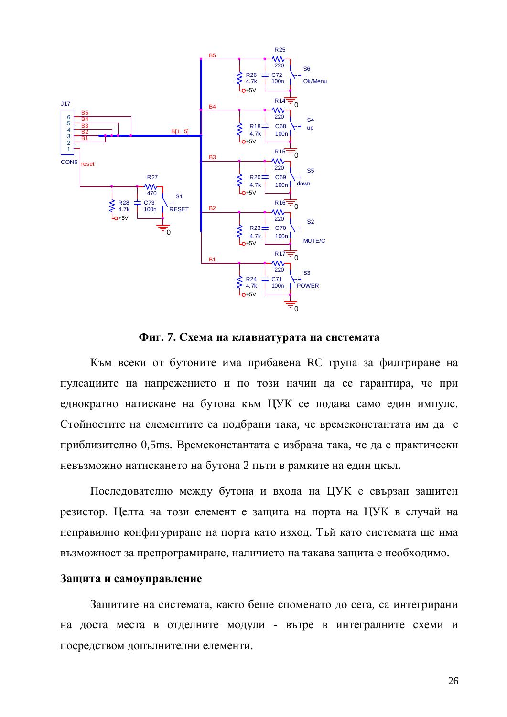

 $\Phi$ иг. 7. Схема на клавиатурата на системата

Към всеки от бутоните има прибавена RC група за филтриране на пулсациите на напрежението и по този начин да се гарантира, че при еднократно натискане на бутона към ЦУК се подава само един импулс. Стойностите на елементите са подбрани така, че времеконстантата им да е приблизително 0,5ms. Времеконстантата е избрана така, че да е практически невъзможно натискането на бутона 2 пъти в рамките на един цкъл.

Последователно между бутона и входа на ЦУК е свързан защитен резистор. Целта на този елемент е защита на порта на ЦУК в случай на неправилно конфигуриране на порта като изход. Тъй като системата ще има възможност за препрограмиране, наличието на такава защита е необходимо.

#### Защита и самоуправление

Защитите на системата, както беше споменато до сега, са интегрирани на доста места в отделните модули - вътре в интегралните схеми и посредством допълнителни елементи.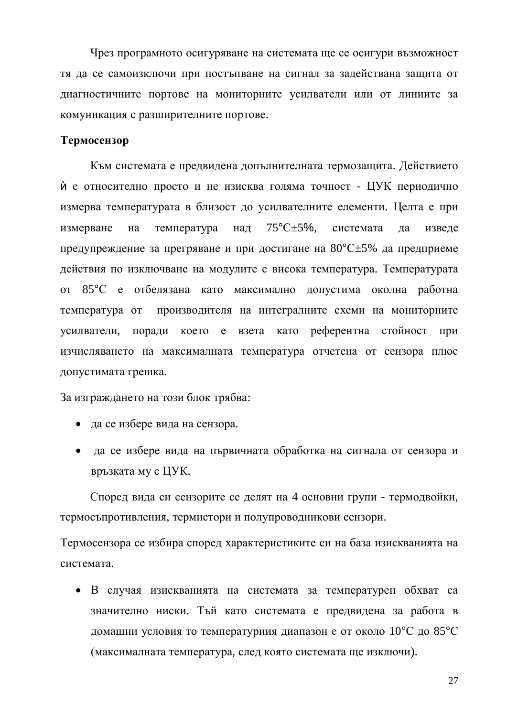Чрез програмното осигуряване на системата ще се осигури възможност тя да се самоизключи при постъпване на сигнал за задействана защита от диагностичните портове на мониторните усилватели или от линиите за комуникация с разширителните портове.

#### **Термосензор**

Към системата е предвидена допълнителната термозащита. Действието й е относително просто и не изисква голяма точност - ЦУК периодично измерва температурата в близост до усилвателните елементи. Целта е при измерване на температура над  $75^{\circ}$ С $\pm$ 5%, системата да изведе предупреждение за прегряване и при достигане на  $80^{\circ}C \pm 5$ % да предприеме действия по изключване на модулите с висока температура. Температурата от 85°С е отбелязана като максимално допустима околна работна температура от производителя на интегралните схеми на мониторните үсилватели, поради което е взета като референтна стойност при изчисляването на максималната температура отчетена от сензора плюс допустимата грешка.

За изграждането на този блок трябва:

- да се избере вида на сензора.
- да се избере вида на първичната обработка на сигнала от сензора и връзката му с ЦУК.

Според вида си сензорите се делят на 4 основни групи - термодвойки, термосъпротивления, термистори и полупроводникови сензори.

Термосензора се избира според характеристиките си на база изискванията на системата.

• В случая изискванията на системата за температурен обхват са значително ниски. Тъй като системата е предвидена за работа в домашни условия то температурния диапазон е от около 10°С до 85°С (максималната температура, след която системата ще изключи).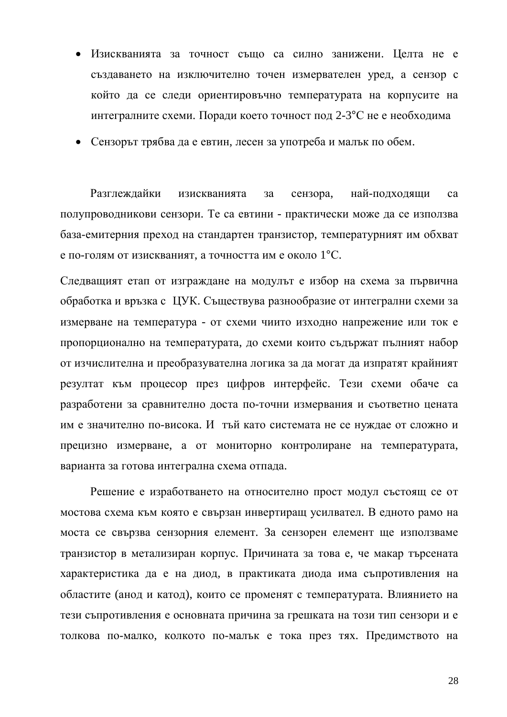- Изискванията за точност също са силно занижени. Целта не е създаването на изключително точен измервателен уред, а сензор с който да се следи ориентировъчно температурата на корпусите на интегралните схеми. Поради което точност под 2-3°С не е необходима
- Сензорът трябва да е евтин, лесен за употреба и малък по обем.

Разглеждайки изискванията за сензора, най-подходящи са полупроводникови сензори. Те са евтини - практически може да се използва база-емитерния преход на стандартен транзистор, температурният им обхват е по-голям от изискваният, а точността им е около  $1^{\circ}C$ .

Следващият етап от изграждане на модулът е избор на схема за първична обработка и връзка с ЦУК. Съществува разнообразие от интегрални схеми за измерване на температура - от схеми чиито изходно напрежение или ток е пропорционално на температурата, до схеми които съдържат пълният набор от изчислителна и преобразувателна логика за да могат да изпратят крайният резултат към процесор през цифров интерфейс. Тези схеми обаче са разработени за сравнително доста по-точни измервания и съответно цената им е значително по-висока. И тъй като системата не се нуждае от сложно и прецизно измерване, а от мониторно контролиране на температурата, варианта за готова интегрална схема отпада.

Решение е изработването на относително прост модул състоящ се от мостова схема към която е свързан инвертиращ усилвател. В едното рамо на моста се свързва сензорния елемент. За сензорен елемент ще използваме транзистор в метализиран корпус. Причината за това е, че макар търсената характеристика да е на диод, в практиката диода има съпротивления на областите (анод и катод), които се променят с температурата. Влиянието на тези съпротивления е основната причина за грешката на този тип сензори и е толкова по-малко, колкото по-малък е тока през тях. Предимството на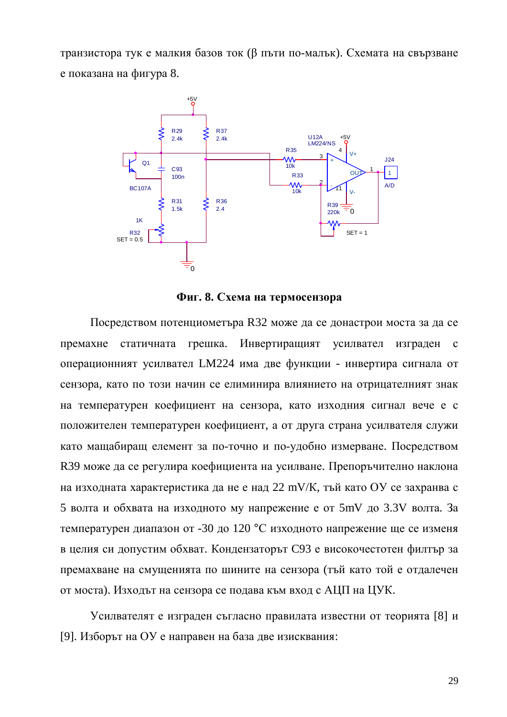транзистора тук е малкия базов ток (β пъти по-малък). Схемата на свързване е показана на фигура 8.



 $\Phi$ иг. 8. Схема на термосензора

Посредством потенциометъра R32 може да се донастрои моста за да се премахне статичната грешка. Инвертиращият усилвател изграден с операционният усилвател LM224 има две функции - инвертира сигнала от сензора, като по този начин се елиминира влиянието на отрицателният знак на температурен коефициент на сензора, като изходния сигнал вече е с положителен температурен коефициент, а от друга страна усилвателя служи като мащабиращ елемент за по-точно и по-удобно измерване. Посредством R39 може да се регулира коефициента на усилване. Препоръчително наклона на изходната характеристика да не е над 22 mV/K, тъй като ОУ се захранва с 5 волта и обхвата на изходното му напрежение е от 5mV до 3.3V волта. За температурен диапазон от -30 до 120 °С изходното напрежение ще се изменя в целия си допустим обхват. Кондензаторът С93 е високочестотен филтър за премахване на смущенията по шините на сензора (тъй като той е отдалечен от моста). Изходът на сензора се подава към вход с АЦП на ЦУК.

Усилвателят е изграден съгласно правилата известни от теорията [8] и [9]. Изборът на ОУ е направен на база две изисквания: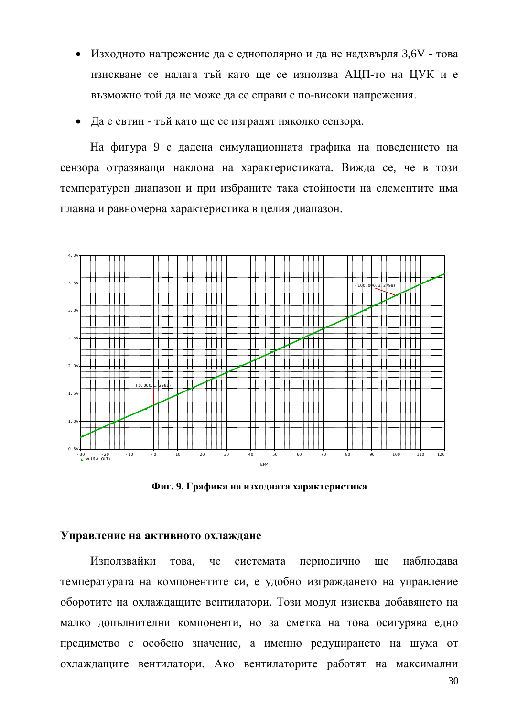• Изходното напрежение да е еднополярно и да не надхвърля 3,6V - това изискване се налага тъй като ще се използва АЦП-то на ЦУК и е възможно той да не може да се справи с по-високи напрежения.

Да е евтин - тъй като ще се изградят няколко сензора.

На фигура 9 е дадена симулационната графика на поведението на сензора отразяващи наклона на характеристиката. Вижда се, че в този температурен диапазон и при избраните така стойности на елементите има плавна и равномерна характеристика в целия диапазон.



 $\Phi$ иг. 9. Графика на изходната характеристика

#### **Управление на активното охлаждане**

Използвайки това, че системата периодично ще наблюдава температурата на компонентите си, е удобно изграждането на управление оборотите на охлаждащите вентилатори. Този модул изисква добавянето на малко допълнителни компоненти, но за сметка на това осигурява едно предимство с особено значение, а именно редуцирането на шума от охлаждащите вентилатори. Ако вентилаторите работят на максимални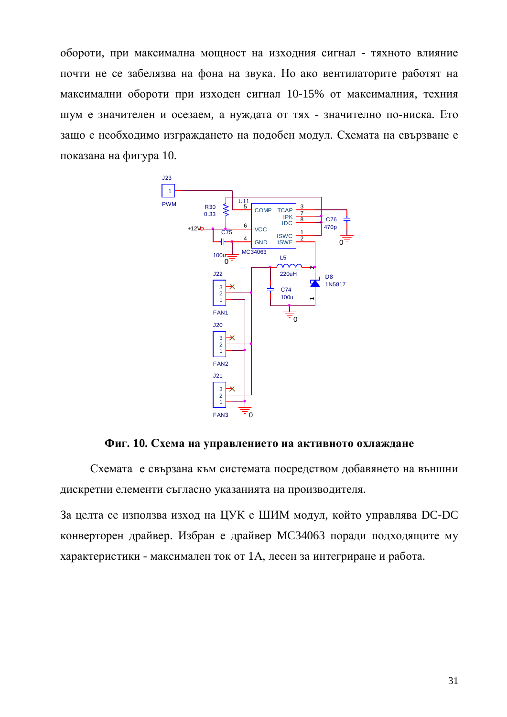обороти, при максимална мощност на изходния сигнал - тяхното влияние почти не се забелязва на фона на звука. Но ако вентилаторите работят на максимални обороти при изходен сигнал 10-15% от максималния, техния шум е значителен и осезаем, а нуждата от тях - значително по-ниска. Ето защо е необходимо изграждането на подобен модул. Схемата на свързване е показана на фигура 10.



**Фиг. 10. Схема на управлението на активното охлаждане** 

Схемата е свързана към системата посредством добавянето на външни дискретни елементи съгласно указанията на производителя.

За целта се използва изход на ЦУК с ШИМ модул, който управлява DC-DC конверторен драйвер. Избран е драйвер МСЗ4063 поради подходящите му характеристики - максимален ток от 1А, лесен за интегриране и работа.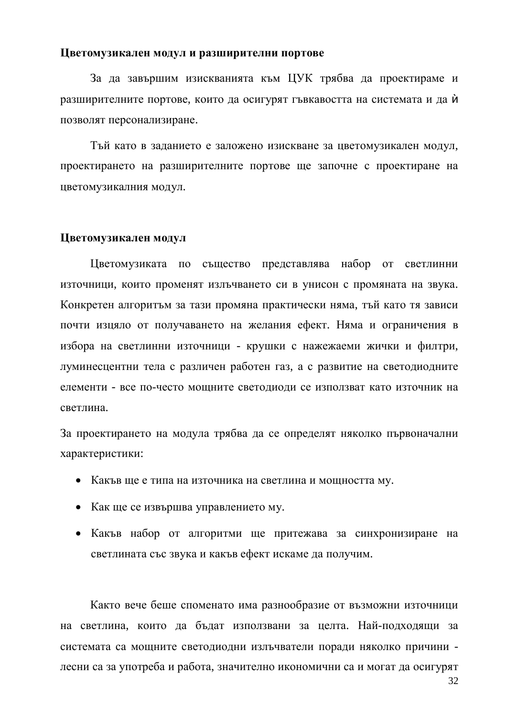#### **Шветомузикален модул и разширителни портове**

За да завършим изискванията към ЦУК трябва да проектираме и разширителните портове, които да осигурят гъвкавостта на системата и да и позволят персонализиране.

Тъй като в заданието е заложено изискване за цветомузикален модул, проектирането на разширителните портове ще започне с проектиране на цветомузикалния модул.

#### Цветомузикален модул

Цветомузиката по същество представлява набор от светлинни източници, които променят излъчването си в унисон с промяната на звука. Конкретен алгоритъм за тази промяна практически няма, тъй като тя зависи почти изцяло от получаването на желания ефект. Няма и ограничения в избора на светлинни източници - крушки с нажежаеми жички и филтри, луминесцентни тела с различен работен газ, а с развитие на светодиодните елементи - все по-често мощните светодиоди се използват като източник на светлина.

За проектирането на модула трябва да се определят няколко първоначални характеристики:

- Какъв ще е типа на източника на светлина и мощността му.
- Как ще се извършва управлението му.
- Какъв набор от алгоритми ще притежава за синхронизиране на светлината със звука и какъв ефект искаме да получим.

Както вече беше споменато има разнообразие от възможни източници на светлина, които да бъдат използвани за целта. Най-подходящи за системата са мощните светодиодни излъчватели поради няколко причини лесни са за употреба и работа, значително икономични са и могат да осигурят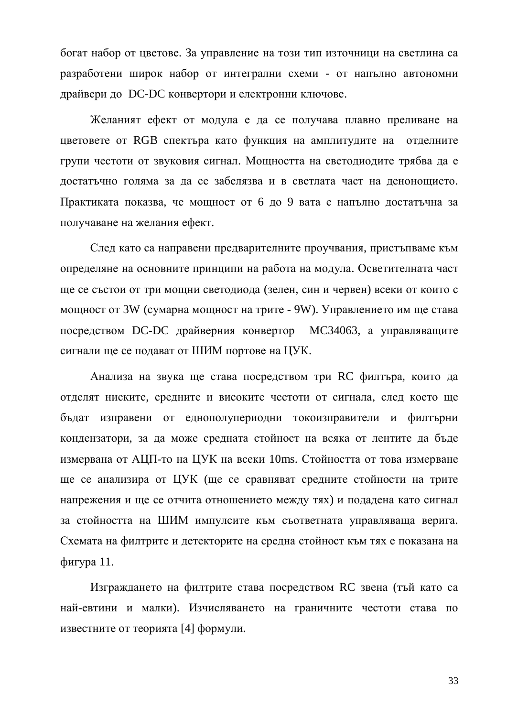богат набор от цветове. За управление на този тип източници на светлина са разработени широк набор от интегрални схеми - от напълно автономни драйвери до DC-DC конвертори и електронни ключове.

Желаният ефект от модула е да се получава плавно преливане на цветовете от RGB спектъра като функция на амплитудите на отделните групи честоти от звуковия сигнал. Мощността на светодиодите трябва да е достатьчно голяма за да се забелязва и в светлата част на денонощието. Практиката показва, че мощност от 6 до 9 вата е напълно достатъчна за получаване на желания ефект.

След като са направени предварителните проучвания, пристъпваме към определяне на основните принципи на работа на модула. Осветителната част ще се състои от три мощни светодиода (зелен, син и червен) всеки от които с мощност от 3W (сумарна мощност на трите - 9W). Управлението им ще става посредством DC-DC драйверния конвертор MC34063, а управляващите сигнали ше се полават от ШИМ портове на ЦУК.

Анализа на звука ще става посредством три RC филтъра, които да отделят ниските, средните и високите честоти от сигнала, след което ще бъдат изправени от еднополупериодни токоизправители и филтърни кондензатори, за да може средната стойност на всяка от лентите да бъде измервана от АЦП-то на ЦУК на всеки 10ms. Стойността от това измерване ще се анализира от ЦУК (ще се сравняват средните стойности на трите напрежения и ще се отчита отношението между тях) и подадена като сигнал за стойността на ШИМ импулсите към съответната управляваща верига. Схемата на филтрите и детекторите на средна стойност към тях е показана на  $ф<sub>И</sub>$ гура 11.

Изграждането на филтрите става посредством RC звена (тъй като са най-евтини и малки). Изчисляването на граничните честоти става по известните от теорията [4] формули.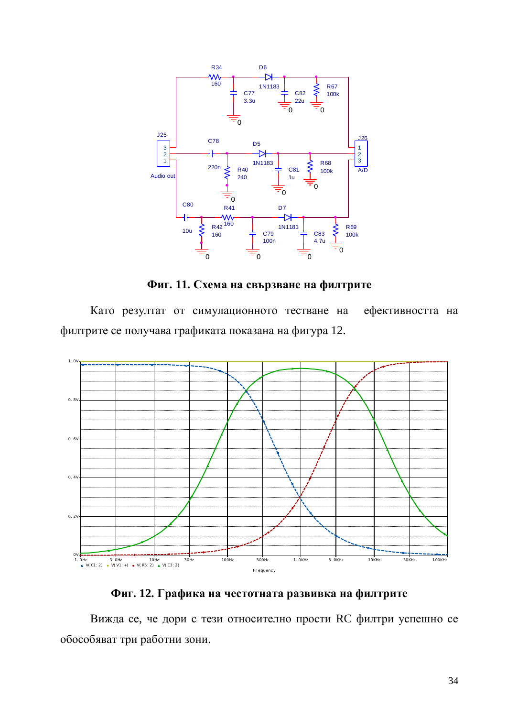

 $\Phi$ иг. 11. Схема на свързване на филтрите

Като резултат от симулационното тестване на ефективността на филтрите се получава графиката показана на фигура 12.



Фиг. 12. Графика на честотната развивка на филтрите

Вижда се, че дори с тези относително прости RC филтри успешно се обособяват три работни зони.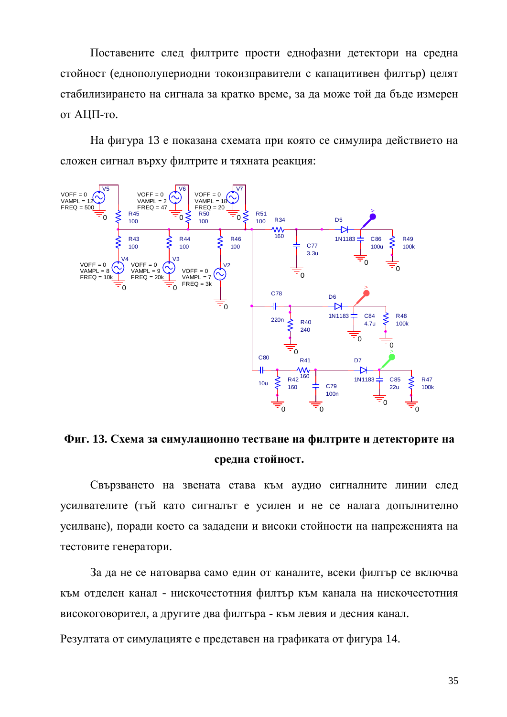Поставените след филтрите прости еднофазни детектори на средна стойност (еднополупериодни токоизправители с капацитивен филтър) целят стабилизирането на сигнала за кратко време, за да може той да бъде измерен от АЦП-то.

На фигура 13 е показана схемата при която се симулира действието на сложен сигнал върху филтрите и тяхната реакция:



Фиг. 13. Схема за симулационно тестване на филтрите и детекторите на средна стойност.

Свързването на звената става към аудио сигналните линии след усилвателите (тъй като сигналът е усилен и не се налага допълнително усилване), поради което са зададени и високи стойности на напреженията на тестовите генератори.

За да не се натоварва само един от каналите, всеки филтър се включва към отделен канал - нискочестотния филтър към канала на нискочестотния високоговорител, а другите два филтъра - към левия и десния канал.

Резултата от симулацияте е представен на графиката от фигура 14.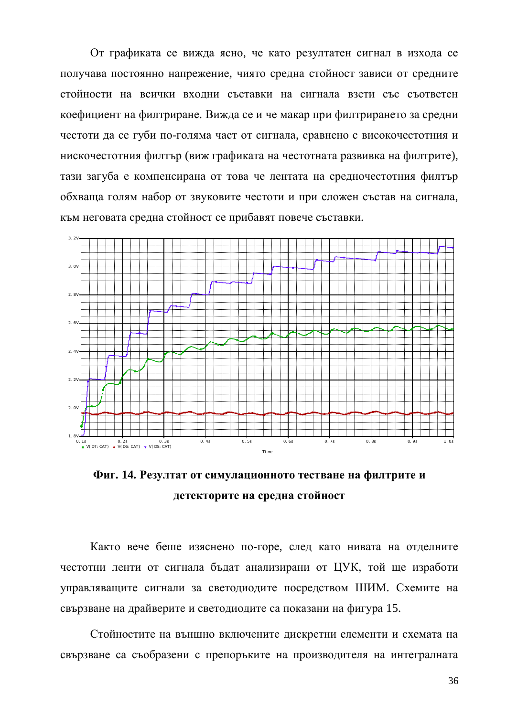От графиката се вижда ясно, че като резултатен сигнал в изхода се получава постоянно напрежение, чиято средна стойност зависи от средните стойности на всички входни съставки на сигнала взети със съответен коефициент на филтриране. Вижда се и че макар при филтрирането за средни честоти да се губи по-голяма част от сигнала, сравнено с високочестотния и нискочестотния филтър (виж графиката на честотната развивка на филтрите), тази загуба е компенсирана от това че лентата на средночестотния филтър обхваща голям набор от звуковите честоти и при сложен състав на сигнала, към неговата средна стойност се прибавят повече съставки.



Фиг. 14. Резултат от симулационното тестване на филтрите и детекторите на средна стойност

Както вече беше изяснено по-горе, след като нивата на отделните честотни ленти от сигнала бъдат анализирани от ЦУК, той ще изработи управляващите сигнали за светодиодите посредством ШИМ. Схемите на свързване на драйверите и светодиодите са показани на фигура 15.

Стойностите на външно включените дискретни елементи и схемата на свързване са съобразени с препоръките на производителя на интегралната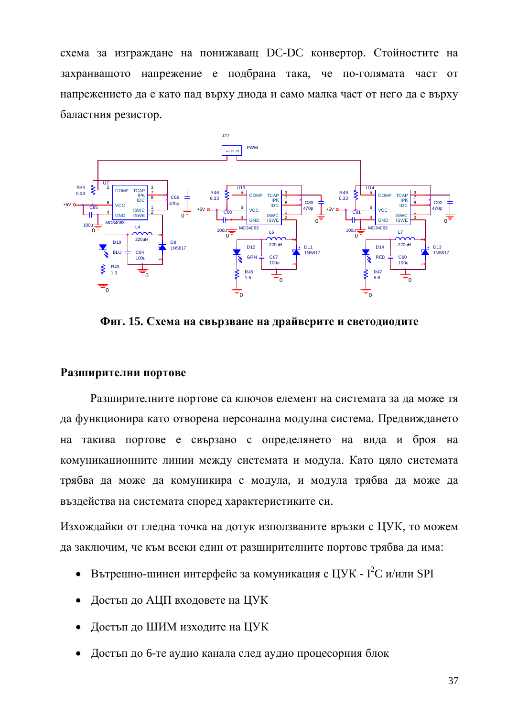схема за изграждане на понижаващ DC-DC конвертор. Стойностите на захранващото напрежение е подбрана така, че по-голямата част от напрежението да е като пад върху диода и само малка част от него да е върху баластния резистор.



**Фиг. 15. Схема на свързване на драйверите и светодиодите** 

#### Разширителни портове

Разширителните портове са ключов елемент на системата за да може тя да функционира като отворена персонална модулна система. Предвиждането на такива портове е свързано с определянето на вида и броя на комуникационните линии между системата и модула. Като цяло системата трябва да може да комуникира с модула, и модула трябва да може да въздейства на системата според характеристиките си.

Изхождайки от гледна точка на дотук използваните връзки с ЦУК, то можем да заключим, че към всеки един от разширителните портове трябва да има:

- Вътрешно-шинен интерфейс за комуникация с ЦУК  $I^2C$  и/или SPI
- Достъп до АЦП входовете на ЦУК
- Достъп до ШИМ изходите на ЦУК
- Достъп до 6-те аудио канала след аудио процесорния блок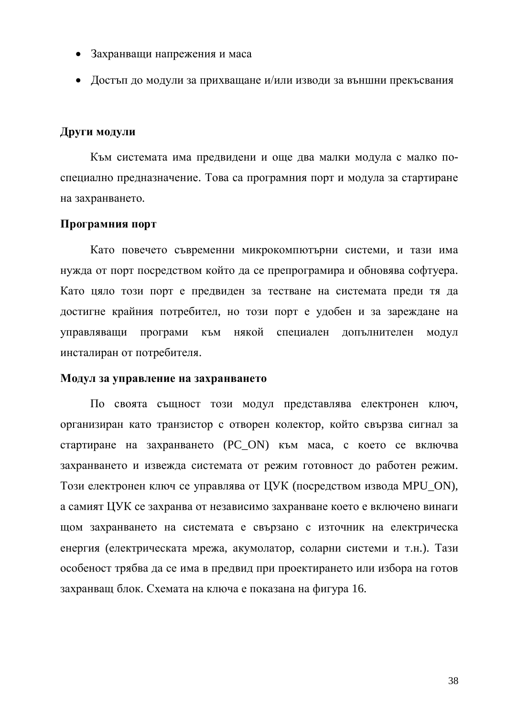- Захранващи напрежения и маса
- Достъп до модули за прихващане и/или изводи за външни прекъсвания

#### **Други модули**

Към системата има предвидени и оше два малки модула с малко поспециално предназначение. Това са програмния порт и модула за стартиране на захранването.

#### Програмния порт

Като повечето съвременни микрокомпютърни системи, и тази има нужда от порт посредством който да се препрограмира и обновява софтуера. Като цяло този порт е предвиден за тестване на системата преди тя да достигне крайния потребител, но този порт е удобен и за зареждане на үправляващи програми към някой специален допълнителен модул инсталиран от потребителя.

#### Модул за управление на захранването

По своята същност този модул представлява електронен ключ, организиран като транзистор с отворен колектор, който свързва сигнал за стартиране на захранването (PC\_ON) към маса, с което се включва захранването и извежда системата от режим готовност до работен режим. Този електронен ключ се управлява от ЦУК (посредством извода MPU ON), а самият ЦУК се захранва от независимо захранване което е включено винаги щом захранването на системата е свързано с източник на електрическа енергия (електрическата мрежа, акумолатор, соларни системи и т.н.). Тази особеност трябва да се има в предвид при проектирането или избора на готов захранващ блок. Схемата на ключа е показана на фигура 16.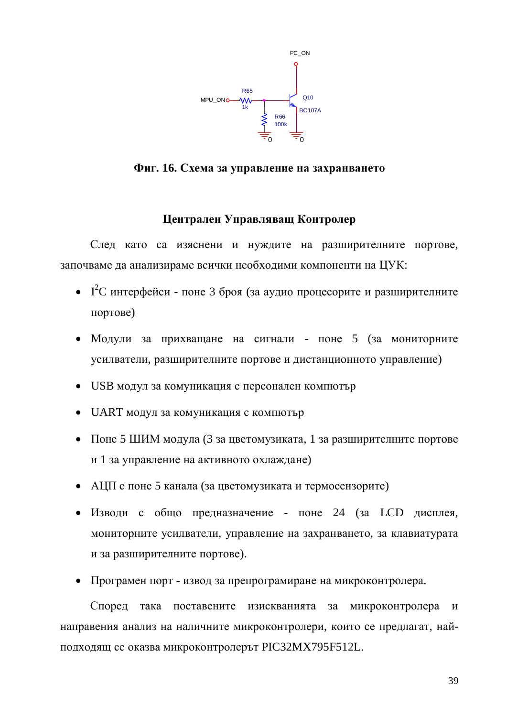

 $\Phi$ иг. 16. Схема за управление на захранването

## **Шентрален Управляващ Контролер**

След като са изяснени и нуждите на разширителните портове, започваме да анализираме всички необходими компоненти на ЦУК:

- $I^2C$  интерфейси поне 3 броя (за аудио процесорите и разширителните  $\text{TOPToBe}$ )
- Модули за прихващане на сигнали поне 5 (за мониторните усилватели, разширителните портове и дистанционното управление)
- USB модул за комуникация с персонален компютър
- UART модул за комуникация с компютър
- Поне 5 ШИМ модула (3 за цветомузиката, 1 за разширителните портове и 1 за управление на активното охлаждане)
- АЦП с поне 5 канала (за цветомузиката и термосензорите)
- Изводи с общо предназначение поне 24 (за LCD дисплея, мониторните усилватели, управление на захранването, за клавиатурата и за разширителните портове).
- Програмен порт извод за препрограмиране на микроконтролера.

Според така поставените изискванията за микроконтролера и направения анализ на наличните микроконтролери, които се предлагат, найподходящ се оказва микроконтролерът РІСЗ2МХ795F512L.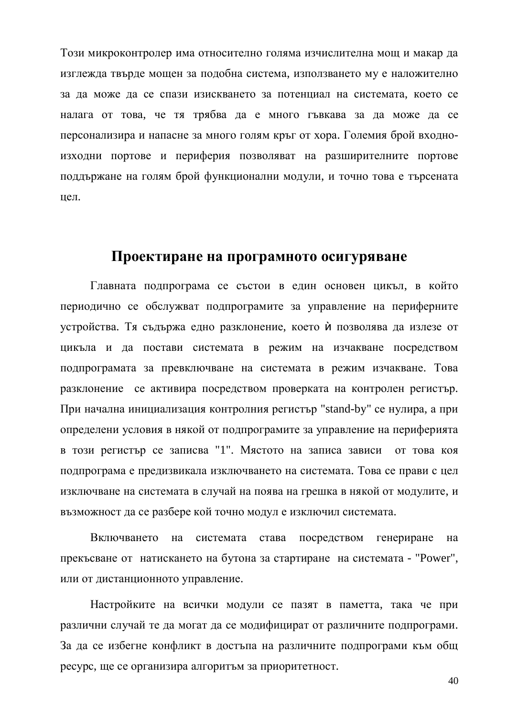Този микроконтролер има относително голяма изчислителна мощ и макар да изглежда твърде мощен за подобна система, използването му е наложително за да може да се спази изискването за потенциал на системата, което се налага от това, че тя трябва да е много гъвкава за да може да се персонализира и напасне за много голям кръг от хора. Големия брой входноизходни портове и периферия позволяват на разширителните портове поддържане на голям брой функционални модули, и точно това е търсената цел.

## Проектиране на програмното осигуряване

Главната подпрограма се състои в един основен цикъл, в който периодично се обслужват подпрограмите за управление на периферните устройства. Тя съдържа едно разклонение, което ѝ позволява да излезе от цикъла и да постави системата в режим на изчакване посредством подпрограмата за превключване на системата в режим изчакване. Това разклонение се активира посредством проверката на контролен регистър. При начална инициализация контролния регистър "stand-by" се нулира, а при определени условия в някой от подпрограмите за управление на периферията в този регистър се записва "1". Мястото на записа зависи от това коя подпрограма е предизвикала изключването на системата. Това се прави с цел изключване на системата в случай на поява на грешка в някой от модулите, и възможност да се разбере кой точно модул е изключил системата.

Включването на системата става посредством генериране на прекъсване от натискането на бутона за стартиране на системата - "Power", или от дистанционното управление.

Настройките на всички модули се пазят в паметта, така че при различни случай те да могат да се модифицират от различните подпрограми. За да се избегне конфликт в достъпа на различните подпрограми към общ ресурс, ще се организира алгоритъм за приоритетност.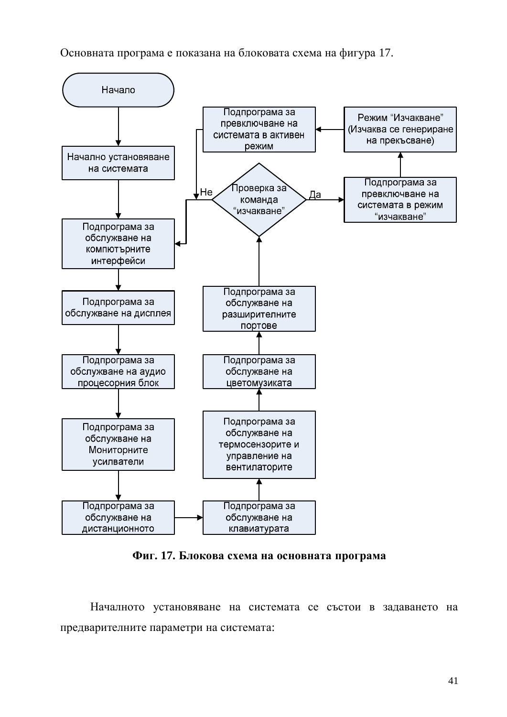Основната програма е показана на блоковата схема на фигура 17.



Фиг. 17. Блокова схема на основната програма

Началното установяване на системата се състои в задаването на предварителните параметри на системата: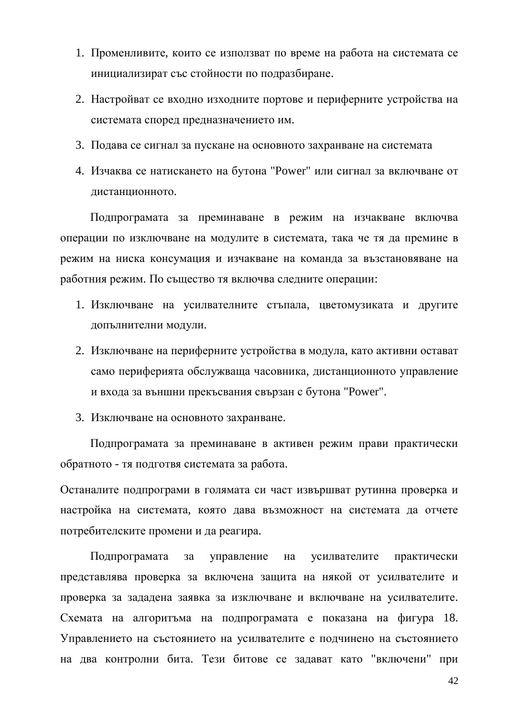- 1. Променливите, които се използват по време на работа на системата се инициализират със стойности по подразбиране.
- 2. Настройват се входно изходните портове и периферните устройства на системата според предназначението им.
- 3. Подава се сигнал за пускане на основното захранване на системата
- 4. Изчаква се натискането на бутона "Power" или сигнал за включване от дистанционното.

Подпрограмата за преминаване в режим на изчакване включва операции по изключване на модулите в системата, така че тя да премине в режим на ниска консумация и изчакване на команда за възстановяване на работния режим. По същество тя включва следните операции:

- 1. Изключване на усилвателните стъпала, цветомузиката и другите допълнителни модули.
- 2. Изключване на периферните устройства в молула, като активни остават само периферията обслужваща часовника, дистанционното управление и входа за външни прекъсвания свързан с бутона "Power".
- 3. Изключване на основното захранване.

Подпрограмата за преминаване в активен режим прави практически обратното - тя подготвя системата за работа.

Останалите подпрограми в голямата си част извършват рутинна проверка и настройка на системата, която дава възможност на системата да отчете потребителските промени и да реагира.

Подпрограмата за управление на усилвателите практически представлява проверка за включена защита на някой от усилвателите и проверка за зададена заявка за изключване и включване на усилвателите. Схемата на алгоритъма на подпрограмата е показана на фигура 18. Управлението на състоянието на усилвателите е подчинено на състоянието на два контролни бита. Тези битове се задават като "включени" при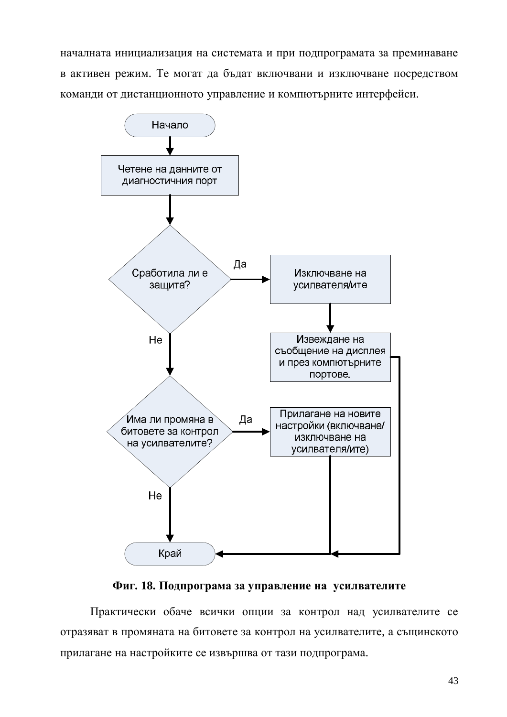началната инициализация на системата и при подпрограмата за преминаване в активен режим. Те могат да бъдат включвани и изключване посредством команди от дистанционното управление и компютърните интерфейси.



#### **Ɏɢɝ. 18. ɉɨɞɩɪɨɝɪɚɦɚɡɚɭɩɪɚɜɥɟɧɢɟɧɚ ɭɫɢɥɜɚɬɟɥɢɬɟ**

Практически обаче всички опции за контрол над усилвателите се отразяват в промяната на битовете за контрол на усилвателите, а същинското прилагане на настройките се извършва от тази подпрограма.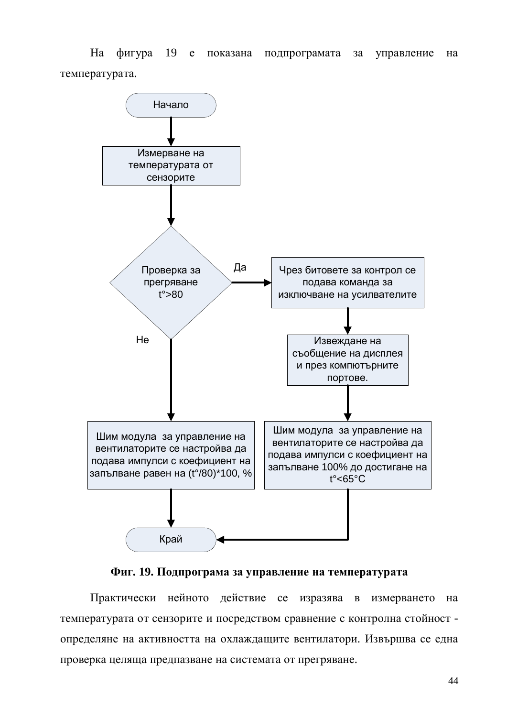На фигура 19 е показана подпрограмата за управление на температурата.



Фиг. 19. Подпрограма за управление на температурата

Практически нейното действие се изразява в измерването на температурата от сензорите и посредством сравнение с контролна стойност определяне на активността на охлаждащите вентилатори. Извършва се една проверка целяща предпазване на системата от прегряване.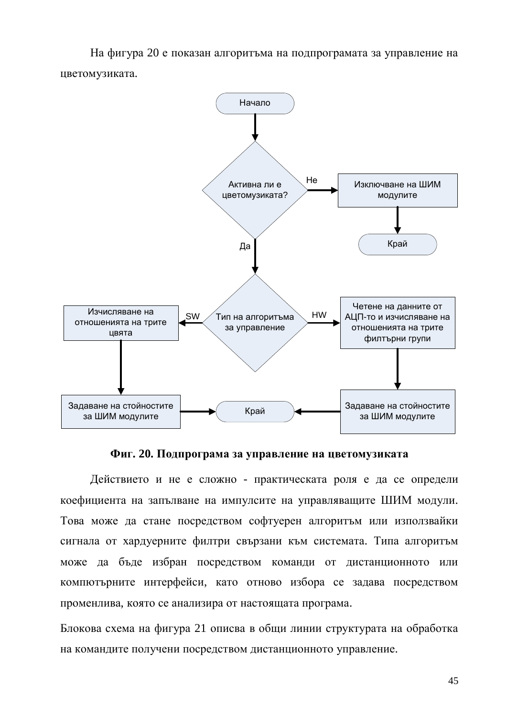На фигура 20 е показан алгоритъма на подпрограмата за управление на цветомузиката.



Фиг. 20. Подпрограма за управление на цветомузиката

Действието и не е сложно - практическата роля е да се определи коефициента на запълване на импулсите на управляващите ШИМ модули. Това може да стане посредством софтуерен алгоритьм или използвайки сигнала от хардуерните филтри свързани към системата. Типа алгоритъм може да бъде избран посредством команди от дистанционното или компютърните интерфейси, като отново избора се задава посредством променлива, която се анализира от настоящата програма.

Блокова схема на фигура 21 описва в общи линии структурата на обработка на командите получени посредством дистанционното управление.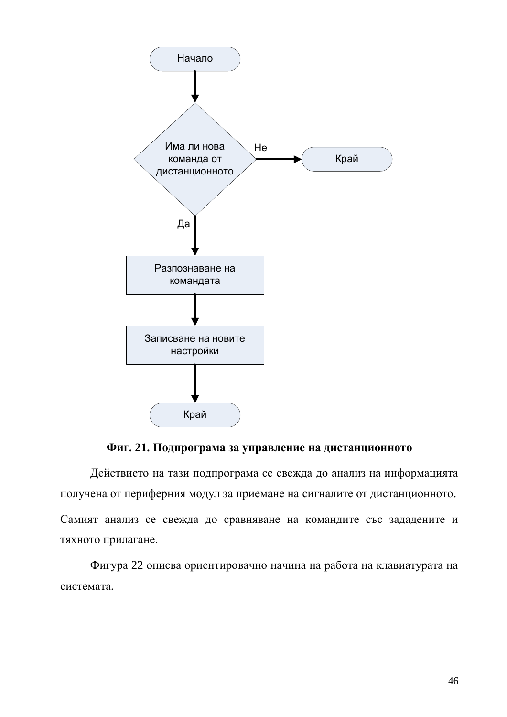

## Фиг. 21. Подпрограма за управление на дистанционното

Действието на тази подпрограма се свежда до анализ на информацията получена от периферния модул за приемане на сигналите от дистанционното. Самият анализ се свежда до сравняване на командите със зададените и тяхното прилагане.

Фигура 22 описва ориентировачно начина на работа на клавиатурата на системата.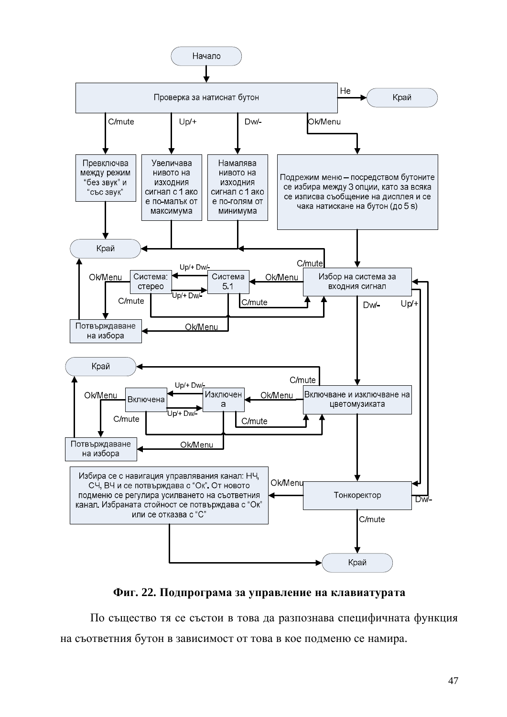

#### Фиг. 22. Подпрограма за управление на клавиатурата

По същество тя се състои в това да разпознава специфичната функция на съответния бутон в зависимост от това в кое подменю се намира.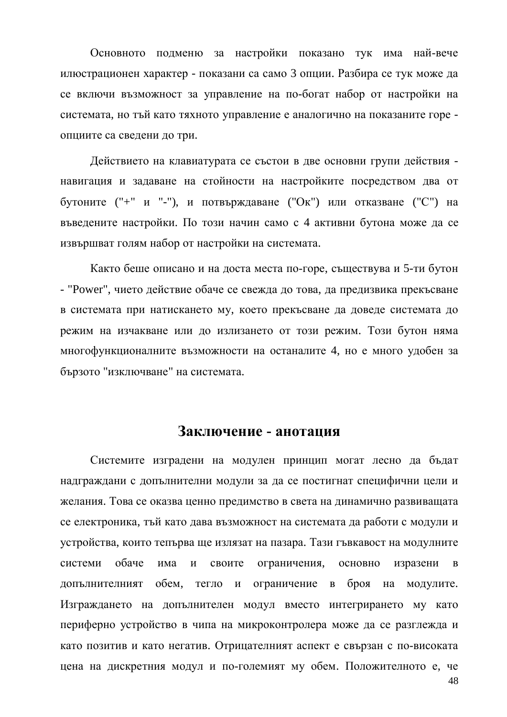Основното подменю за настройки показано тук има най-вече илюстрационен характер - показани са само 3 опции. Разбира се тук може да се включи възможност за управление на по-богат набор от настройки на системата, но тъй като тяхното управление е аналогично на показаните горе опциите са сведени до три.

Действието на клавиатурата се състои в две основни групи действия навигация и задаване на стойности на настройките посредством два от бутоните ("+" и "-"), и потвърждаване ("Ок") или отказване ("С") на въведените настройки. По този начин само с 4 активни бутона може да се извършват голям набор от настройки на системата.

Както беше описано и на доста места по-горе, съществува и 5-ти бутон - "Power", чието действие обаче се свежда до това, да предизвика прекъсване в системата при натискането му, което прекъсване да доведе системата до режим на изчакване или до излизането от този режим. Този бутон няма многофункционалните възможности на останалите 4, но е много удобен за бързото "изключване" на системата.

## Заключение - анотация

Системите изградени на модулен принцип могат лесно да бъдат надграждани с допълнителни модули за да се постигнат специфични цели и желания. Това се оказва ценно предимство в света на динамично развиващата се електроника, тъй като дава възможност на системата да работи с модули и устройства, които тепърва ще излязат на пазара. Тази гъвкавост на модулните системи обаче има и своите ограничения, основно изразени в допълнителният обем, тегло и ограничение в броя на модулите. Изграждането на допълнителен модул вместо интегрирането му като периферно устройство в чипа на микроконтролера може да се разглежда и като позитив и като негатив. Отрицателният аспект е свързан с по-високата цена на дискретния модул и по-големият му обем. Положителното е, че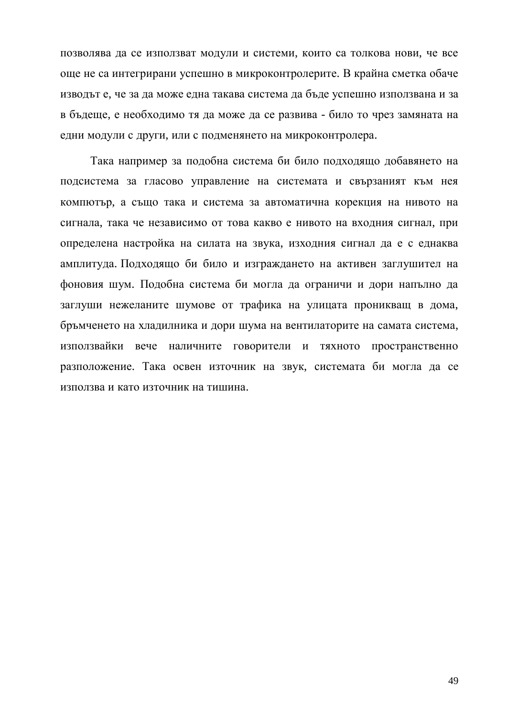позволява да се използват модули и системи, които са толкова нови, че все още не са интегрирани успешно в микроконтролерите. В крайна сметка обаче изводът е, че за да може една такава система да бъде успешно използвана и за в бъдеще, е необходимо тя да може да се развива - било то чрез замяната на едни модули с други, или с подменянето на микроконтролера.

Така например за подобна система би било подходящо добавянето на подсистема за гласово управление на системата и свързаният към нея компютър, а също така и система за автоматична корекция на нивото на сигнала, така че независимо от това какво е нивото на входния сигнал, при определена настройка на силата на звука, изходния сигнал да е с еднаква амплитуда. Подходящо би било и изграждането на активен заглушител на фоновия шум. Подобна система би могла да ограничи и дори напълно да заглуши нежеланите шумове от трафика на улицата проникващ в дома, бръмченето на хладилника и дори шума на вентилаторите на самата система, използвайки вече наличните говорители и тяхното пространственно разположение. Така освен източник на звук, системата би могла да се използва и като източник на тишина.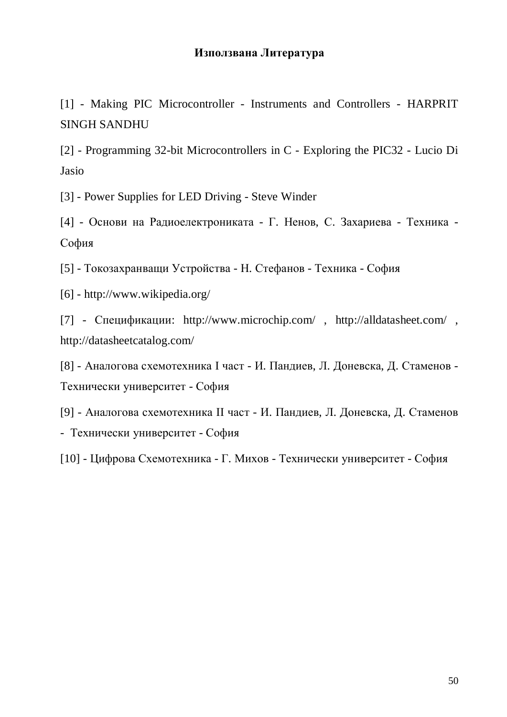## **Използвана Литература**

[1] - Making PIC Microcontroller - Instruments and Controllers - HARPRIT SINGH SANDHU

[2] - Programming 32-bit Microcontrollers in C - Exploring the PIC32 - Lucio Di Jasio

[3] - Power Supplies for LED Driving - Steve Winder

[4] - Основи на Радиоелектрониката - Г. Ненов, С. Захариева - Техника -София

[5] - Токозахранващи Устройства - Н. Стефанов - Техника - София

[6] - <http://www.wikipedia.org/>

[7] - Спецификации: http://www.microchip.com/, http://alldatasheet.com/, <http://datasheetcatalog.com/>

[8] - Аналогова схемотехника I част - И. Пандиев, Л. Доневска, Д. Стаменов -Технически университет - София

[9] - Аналогова схемотехника II част - И. Пандиев, Л. Доневска, Д. Стаменов - Технически университет - София

[10] - Цифрова Схемотехника - Г. Михов - Технически университет - София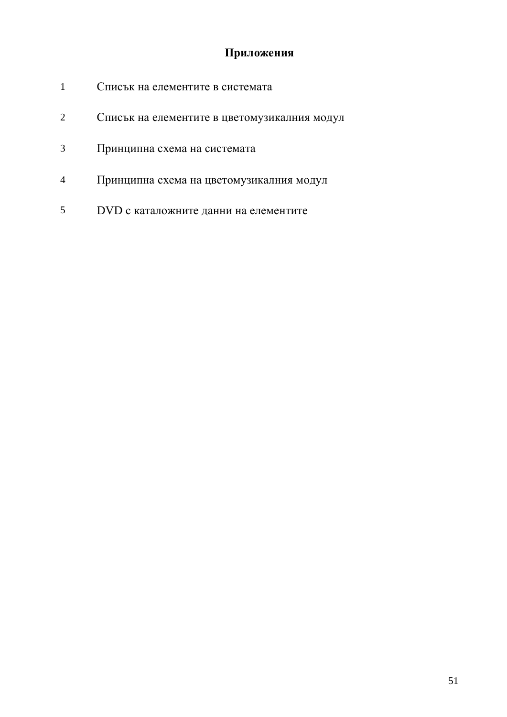## Приложения

- 1 Списък на елементите в системата
- 2 Списък на елементите в цветомузикалния модул
- 3 Принципна схема на системата
- 4 Принципна схема на цветомузикалния модул
- 5 DVD с каталожните данни на елементите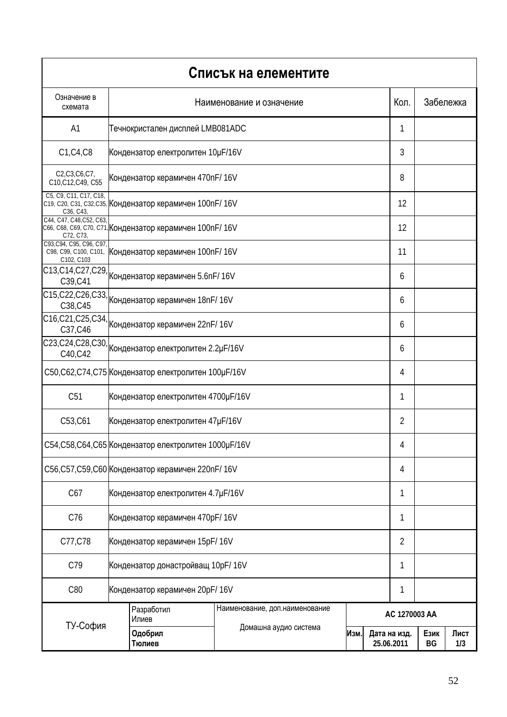|                                        |                                                        |                                                          | Списък на елементите            |               |      |                            |            |             |
|----------------------------------------|--------------------------------------------------------|----------------------------------------------------------|---------------------------------|---------------|------|----------------------------|------------|-------------|
| Означение в<br>схемата                 | Наименование и означение                               |                                                          |                                 |               | Кол. | Забележка                  |            |             |
| A <sub>1</sub>                         |                                                        | Течнокристален дисплей LMB081ADC                         |                                 |               |      | 1                          |            |             |
| C1, C4, C8                             |                                                        | Кондензатор електролитен 10µF/16V                        |                                 |               |      | 3                          |            |             |
| C2,C3,C6,C7,<br>C10, C12, C49, C55     | Кондензатор керамичен 470nF/16V                        |                                                          |                                 | 8             |      |                            |            |             |
| C5, C9, C11, C17, C18,<br>C36, C43,    |                                                        | с19, с20, с31, с32, с35, Кондензатор керамичен 100nF/16V |                                 |               |      | 12                         |            |             |
| C44, C47, C48, C52, C63,<br>C72, C73,  |                                                        | С66, С68, С69, С70, С71, Кондензатор керамичен 100nF/16V |                                 |               |      | 12                         |            |             |
| C93, C94, C95, C96, C97,<br>C102, C103 |                                                        | с98, с99, с100, с101, Кондензатор керамичен 100nF/16V    |                                 |               |      | 11                         |            |             |
|                                        |                                                        | С13, С14, С27, С29, Кондензатор керамичен 5.6nF/16V      |                                 |               |      | 6                          |            |             |
| C38, C45                               | C15, C22, C26, C33, Кондензатор керамичен 18nF/ 16V    |                                                          |                                 |               | 6    |                            |            |             |
| C37, C46                               |                                                        | C16,C21,C25,C34, Кондензатор керамичен 22nF/16V          |                                 |               |      |                            |            |             |
| C40, C42                               |                                                        | С23, С24, С28, С30, Кондензатор електролитен 2.2µF/16V   |                                 |               |      |                            |            |             |
|                                        | C50, C62, C74, C75 Кондензатор електролитен 100µF/16V  |                                                          |                                 |               |      | 4                          |            |             |
| C51                                    |                                                        | Кондензатор електролитен 4700µF/16V                      |                                 |               |      | 1                          |            |             |
| C53, C61                               |                                                        | Кондензатор електролитен 47µF/16V                        |                                 |               |      | 2                          |            |             |
|                                        | C54, C58, C64, C65 Кондензатор електролитен 1000µF/16V |                                                          |                                 |               |      | 4                          |            |             |
|                                        | C56, C57, C59, C60 Кондензатор керамичен 220nF/16V     |                                                          |                                 |               |      | 4                          |            |             |
| C67                                    | Кондензатор електролитен 4.7µF/16V                     |                                                          |                                 |               |      | 1                          |            |             |
| C76                                    | Кондензатор керамичен 470pF/16V                        |                                                          |                                 |               |      | 1                          |            |             |
| C77, C78                               | Кондензатор керамичен 15pF/16V                         |                                                          |                                 |               |      | 2                          |            |             |
| C79                                    | Кондензатор донастройващ 10pF/16V                      |                                                          |                                 |               |      | 1                          |            |             |
| C80                                    | Кондензатор керамичен 20pF/16V                         |                                                          |                                 | 1             |      |                            |            |             |
|                                        | Разработил<br>Илиев<br>Одобрил<br>Тюлиев               |                                                          | Наименование, доп. наименование | AC 1270003 AA |      |                            |            |             |
| ТУ-София                               |                                                        |                                                          | Домашна аудио система<br>Изм.   |               |      | Дата на изд.<br>25.06.2011 | Език<br>BG | Лист<br>1/3 |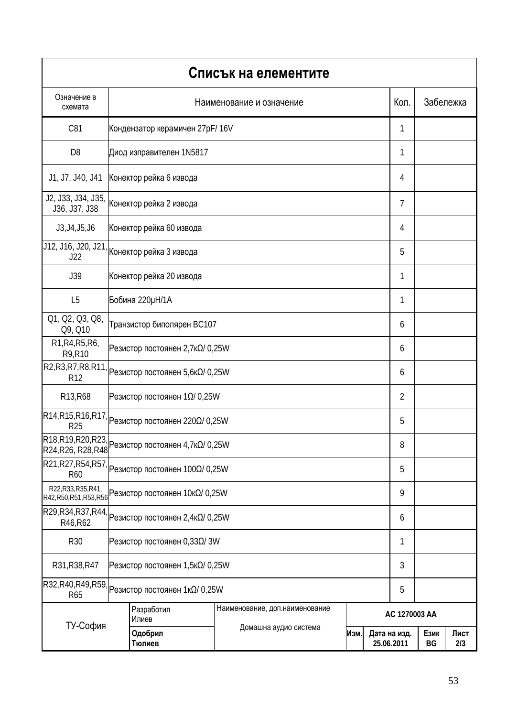|                                                                           |                                |                                                                             | Списък на елементите          |               |                            |                |                   |             |
|---------------------------------------------------------------------------|--------------------------------|-----------------------------------------------------------------------------|-------------------------------|---------------|----------------------------|----------------|-------------------|-------------|
| Означение в<br>схемата                                                    |                                | Наименование и означение                                                    |                               |               |                            |                | Кол.<br>Забележка |             |
| C81                                                                       |                                | Кондензатор керамичен 27pF/16V                                              |                               |               |                            | 1              |                   |             |
| D <sub>8</sub>                                                            |                                | Диод изправителен 1N5817<br>1                                               |                               |               |                            |                |                   |             |
| J1, J7, J40, J41                                                          |                                | Конектор рейка 6 извода<br>4                                                |                               |               |                            |                |                   |             |
| J2, J33, J34, J35,<br>J36, J37, J38                                       |                                | Конектор рейка 2 извода                                                     |                               |               |                            | 7              |                   |             |
| J3, J4, J5, J6                                                            |                                | Конектор рейка 60 извода                                                    |                               |               |                            | 4              |                   |             |
|                                                                           |                                | <mark>J12, J16, J20</mark> , J21, <sub>Конектор рейка 3 извода</sub>        |                               |               |                            | 5              |                   |             |
| J39                                                                       |                                | Конектор рейка 20 извода                                                    |                               |               |                            | 1              |                   |             |
| L <sub>5</sub>                                                            |                                | Бобина 220µН/1А                                                             |                               |               |                            | 1              |                   |             |
| Q1, Q2, Q3, Q8,<br>Q9, Q10                                                |                                | Транзистор биполярен ВС107                                                  |                               |               |                            | 6              |                   |             |
| R1, R4, R5, R6,<br>R9, R10                                                |                                | Резистор постоянен 2,7 κΩ/ 0,25W                                            |                               |               |                            | 6              |                   |             |
|                                                                           |                                | $R2, R3, R7, R8, R11,$ Резистор постоянен 5,6к $\Omega/$ 0,25W              |                               |               |                            | 6              |                   |             |
| R13, R68<br>Резистор постоянен 1Ω/ 0,25W                                  |                                |                                                                             |                               |               |                            | $\overline{2}$ |                   |             |
|                                                                           |                                | $\overline{\text{R14,R15,R16,R17}}$ Резистор постоянен 220 $\Omega$ / 0,25W |                               |               |                            | 5              |                   |             |
| R24, R26, R28, R48                                                        |                                | R18,R19,R20,R23, Резистор постоянен 4,7к $\Omega$ /0,25W                    |                               |               |                            |                |                   |             |
| R60                                                                       |                                | $\overline{\text{R21,R27,R54,R57}}$ Резистор постоянен 100 $\Omega$ / 0,25W |                               |               | 5                          |                |                   |             |
| R22, R33, R35, R41,<br>R42, R50, R51, R53, R56                            |                                | Резистор постоянен 10κΩ/ 0,25W                                              |                               |               | 9                          |                |                   |             |
| $R29, R34, R37, R44,$ Резистор постоянен 2,4к $\Omega/0, 25W$<br>R46, R62 |                                |                                                                             |                               |               | 6                          |                |                   |             |
| R30                                                                       | $P$ езистор постоянен 0,33Ω/3W |                                                                             |                               |               | 1                          |                |                   |             |
| R31, R38, R47                                                             |                                | Резистор постоянен $1,5 \kappa \Omega / 0,25 W$                             |                               |               |                            | 3              |                   |             |
| R32, R40, R49, R59,<br>R65                                                | Резистор постоянен 1 κΩ/ 0,25W |                                                                             |                               | 5             |                            |                |                   |             |
|                                                                           |                                | Наименование, доп.наименование<br>Разработил<br>Илиев                       |                               | AC 1270003 AA |                            |                |                   |             |
| ТУ-София                                                                  | Одобрил<br>Тюлиев              |                                                                             | Домашна аудио система<br>Изм. |               | Дата на изд.<br>25.06.2011 |                | Език<br>BG        | Лист<br>2/3 |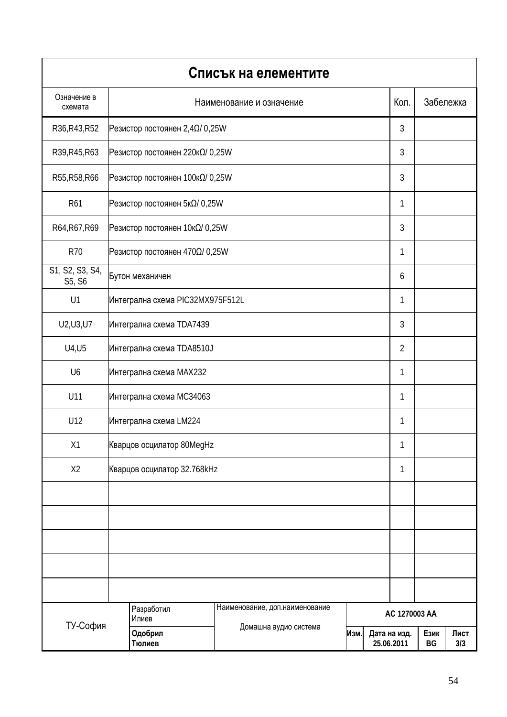|                           |                                |                                       | Списък на елементите            |                                    |   |      |            |             |  |
|---------------------------|--------------------------------|---------------------------------------|---------------------------------|------------------------------------|---|------|------------|-------------|--|
| Означение в<br>схемата    | Наименование и означение       |                                       |                                 |                                    |   | Кол. | Забележка  |             |  |
| R36, R43, R52             | Резистор постоянен 2,4Ω/ 0,25W |                                       |                                 |                                    |   | 3    |            |             |  |
| R39, R45, R63             |                                | 3<br>Резистор постоянен 220 κΩ/ 0,25W |                                 |                                    |   |      |            |             |  |
| R55, R58, R66             |                                | Резистор постоянен 100 κΩ/ 0,25W      |                                 |                                    |   |      | 3          |             |  |
| R <sub>61</sub>           |                                | Резистор постоянен 5κΩ/ 0,25W         |                                 |                                    |   | 1    |            |             |  |
| R64, R67, R69             |                                | Резистор постоянен 10κΩ/ 0,25W        |                                 |                                    |   | 3    |            |             |  |
| <b>R70</b>                |                                | Резистор постоянен 470Ω/ 0,25W        |                                 |                                    |   | 1    |            |             |  |
| S1, S2, S3, S4,<br>S5, S6 |                                | Бутон механичен                       |                                 |                                    |   | 6    |            |             |  |
| U1                        |                                | Интегрална схема PIC32MX975F512L      |                                 |                                    |   | 1    |            |             |  |
| U2, U3, U7                |                                | Интегрална схема TDA7439              |                                 |                                    |   |      |            |             |  |
| U4, U5                    |                                | Интегрална схема TDA8510J             |                                 |                                    |   |      |            |             |  |
| U <sub>6</sub>            |                                | Интегрална схема МАХ232               |                                 |                                    |   |      |            |             |  |
| U11                       |                                | Интегрална схема МСЗ4063              |                                 |                                    |   |      |            |             |  |
| U12                       | Интегрална схема LM224         |                                       |                                 |                                    |   | 1    |            |             |  |
| X1                        |                                | Кварцов осцилатор 80MegHz             |                                 |                                    |   | 1    |            |             |  |
| X <sub>2</sub>            |                                | Кварцов осцилатор 32.768kHz           |                                 |                                    | 1 |      |            |             |  |
|                           |                                |                                       |                                 |                                    |   |      |            |             |  |
|                           |                                |                                       |                                 |                                    |   |      |            |             |  |
|                           |                                |                                       |                                 |                                    |   |      |            |             |  |
|                           |                                |                                       |                                 |                                    |   |      |            |             |  |
|                           |                                |                                       |                                 |                                    |   |      |            |             |  |
|                           |                                | Разработил<br>Илиев                   | Наименование, доп. наименование | AC 1270003 AA                      |   |      |            |             |  |
| ТУ-София                  |                                | Одобрил<br>Тюлиев                     | Домашна аудио система           | Изм.<br>Дата на изд.<br>25.06.2011 |   |      | Език<br>BG | Лист<br>3/3 |  |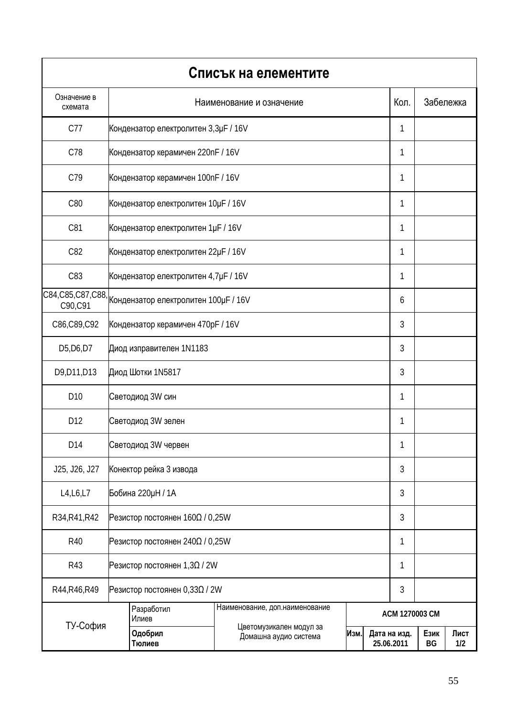|                                                  |                                                                                                                                         |                                                          | Списък на елементите |                            |            |             |  |           |
|--------------------------------------------------|-----------------------------------------------------------------------------------------------------------------------------------------|----------------------------------------------------------|----------------------|----------------------------|------------|-------------|--|-----------|
| Означение в<br>схемата                           | Наименование и означение                                                                                                                |                                                          |                      |                            |            | Кол.        |  | Забележка |
| C77                                              |                                                                                                                                         | Кондензатор електролитен 3, 3µF / 16V                    |                      |                            |            |             |  |           |
| C78                                              |                                                                                                                                         | Кондензатор керамичен 220nF / 16V<br>1                   |                      |                            |            |             |  |           |
| C79                                              |                                                                                                                                         | Кондензатор керамичен 100nF / 16V                        |                      |                            |            |             |  |           |
| C80                                              |                                                                                                                                         | Кондензатор електролитен 10µF / 16V                      |                      |                            |            | 1           |  |           |
| C81                                              |                                                                                                                                         | Кондензатор електролитен 1µF / 16V                       |                      |                            |            | 1           |  |           |
| C82                                              |                                                                                                                                         | Кондензатор електролитен 22µF / 16V                      |                      |                            |            | 1           |  |           |
| C83                                              |                                                                                                                                         | Кондензатор електролитен 4,7µF / 16V                     |                      |                            |            | 1           |  |           |
| C90,C91                                          |                                                                                                                                         | C84, C85, C87, C88, Кондензатор електролитен 100uF / 16V |                      |                            |            | 6           |  |           |
| C86,C89,C92                                      |                                                                                                                                         | Кондензатор керамичен 470pF / 16V                        |                      |                            |            |             |  |           |
| D <sub>5</sub> , D <sub>6</sub> , D <sub>7</sub> |                                                                                                                                         | Диод изправителен 1N1183                                 |                      |                            |            |             |  |           |
| D9, D11, D13                                     |                                                                                                                                         | Диод Шотки 1N5817                                        |                      |                            |            |             |  |           |
| D <sub>10</sub>                                  |                                                                                                                                         | Светодиод 3W син                                         |                      |                            |            |             |  |           |
| D12                                              |                                                                                                                                         | Светодиод 3W зелен                                       |                      |                            |            | 1           |  |           |
| D14                                              |                                                                                                                                         | Светодиод 3W червен                                      |                      |                            |            | 1           |  |           |
| J25, J26, J27                                    |                                                                                                                                         | Конектор рейка 3 извода                                  |                      |                            |            | 3           |  |           |
| L4, L6, L7                                       |                                                                                                                                         | Бобина 220µН / 1А                                        |                      |                            |            | 3           |  |           |
| R34, R41, R42                                    | Резистор постоянен $160\Omega/0.25W$                                                                                                    |                                                          |                      |                            |            | 3           |  |           |
| R40                                              |                                                                                                                                         | Pезистор постоянен 240 $\Omega$ / 0,25W                  |                      |                            |            |             |  |           |
| R43                                              | Резистор постоянен 1,3Ω / 2W                                                                                                            |                                                          |                      |                            | 1          |             |  |           |
| R44, R46, R49<br>Резистор постоянен 0,33Ω / 2W   |                                                                                                                                         |                                                          |                      |                            |            | 3           |  |           |
|                                                  | Наименование, доп. наименование<br>Разработил<br>Илиев<br>Цветомузикален модул за<br>Одобрил<br>Изм.<br>Домашна аудио система<br>Тюлиев |                                                          |                      | ACM 1270003 CM             |            |             |  |           |
| ТУ-София                                         |                                                                                                                                         |                                                          |                      | Дата на изд.<br>25.06.2011 | Език<br>BG | Лист<br>1/2 |  |           |